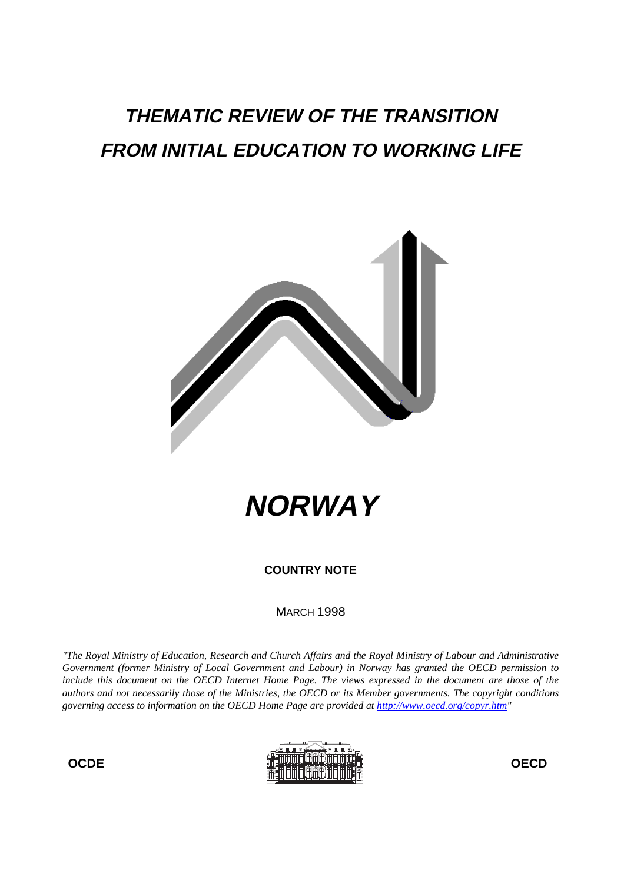# **THEMATIC REVIEW OF THE TRANSITION FROM INITIAL EDUCATION TO WORKING LIFE**





**COUNTRY NOTE**

**MARCH 1998** 

*"The Royal Ministry of Education, Research and Church Affairs and the Royal Ministry of Labour and Administrative Government (former Ministry of Local Government and Labour) in Norway has granted the OECD permission to include this document on the OECD Internet Home Page. The views expressed in the document are those of the authors and not necessarily those of the Ministries, the OECD or its Member governments. The copyright conditions governing access to information on the OECD Home Page are provided at http://www.oecd.org/copyr.htm"*

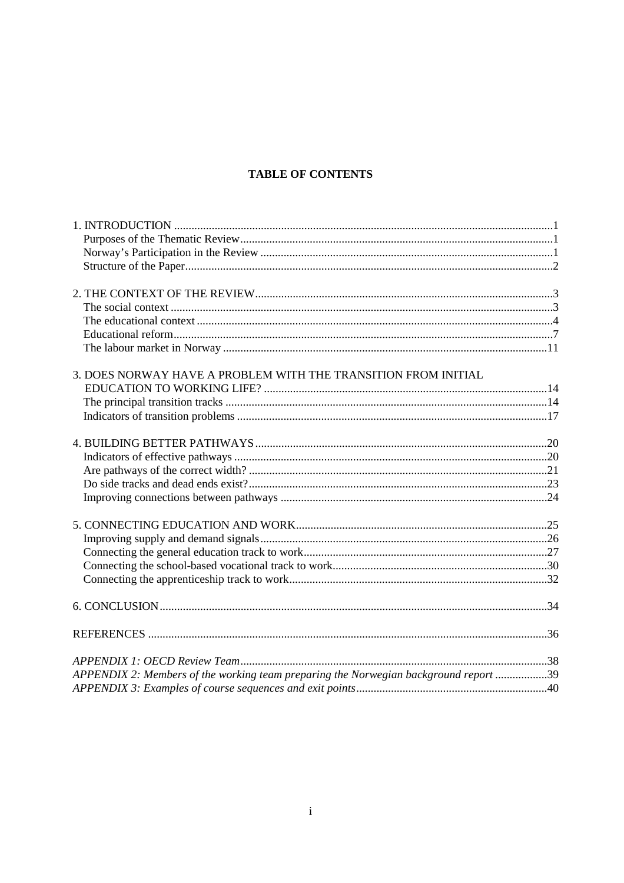## **TABLE OF CONTENTS**

| 3. DOES NORWAY HAVE A PROBLEM WITH THE TRANSITION FROM INITIAL                       |  |
|--------------------------------------------------------------------------------------|--|
|                                                                                      |  |
|                                                                                      |  |
|                                                                                      |  |
|                                                                                      |  |
|                                                                                      |  |
|                                                                                      |  |
|                                                                                      |  |
|                                                                                      |  |
|                                                                                      |  |
|                                                                                      |  |
|                                                                                      |  |
|                                                                                      |  |
|                                                                                      |  |
|                                                                                      |  |
|                                                                                      |  |
|                                                                                      |  |
|                                                                                      |  |
| APPENDIX 2: Members of the working team preparing the Norwegian background report 39 |  |
|                                                                                      |  |
|                                                                                      |  |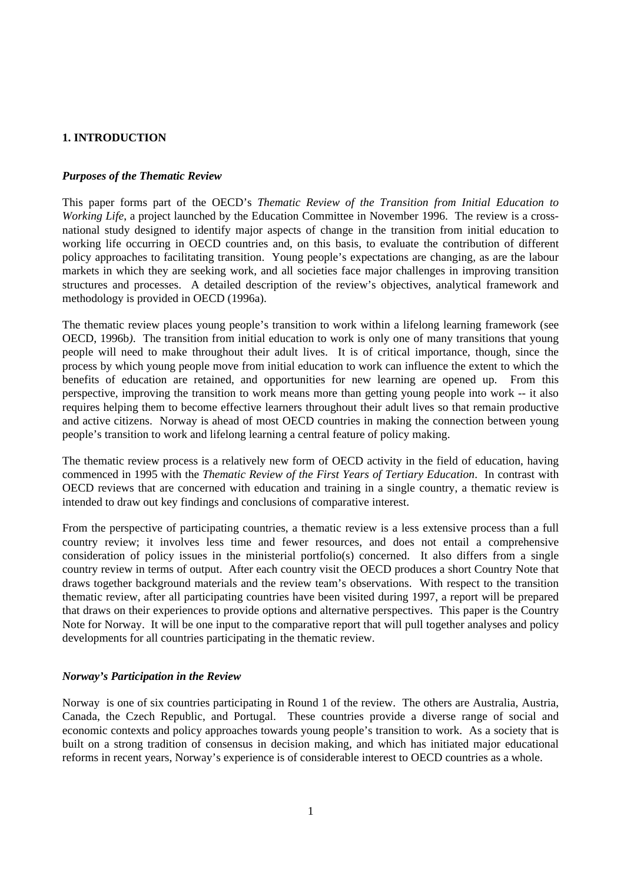## **1. INTRODUCTION**

## *Purposes of the Thematic Review*

This paper forms part of the OECD's *Thematic Review of the Transition from Initial Education to Working Life*, a project launched by the Education Committee in November 1996. The review is a crossnational study designed to identify major aspects of change in the transition from initial education to working life occurring in OECD countries and, on this basis, to evaluate the contribution of different policy approaches to facilitating transition. Young people's expectations are changing, as are the labour markets in which they are seeking work, and all societies face major challenges in improving transition structures and processes. A detailed description of the review's objectives, analytical framework and methodology is provided in OECD (1996a).

The thematic review places young people's transition to work within a lifelong learning framework (see OECD, 1996b*)*. The transition from initial education to work is only one of many transitions that young people will need to make throughout their adult lives. It is of critical importance, though, since the process by which young people move from initial education to work can influence the extent to which the benefits of education are retained, and opportunities for new learning are opened up. From this perspective, improving the transition to work means more than getting young people into work -- it also requires helping them to become effective learners throughout their adult lives so that remain productive and active citizens. Norway is ahead of most OECD countries in making the connection between young people's transition to work and lifelong learning a central feature of policy making.

The thematic review process is a relatively new form of OECD activity in the field of education, having commenced in 1995 with the *Thematic Review of the First Years of Tertiary Education*. In contrast with OECD reviews that are concerned with education and training in a single country, a thematic review is intended to draw out key findings and conclusions of comparative interest.

From the perspective of participating countries, a thematic review is a less extensive process than a full country review; it involves less time and fewer resources, and does not entail a comprehensive consideration of policy issues in the ministerial portfolio(s) concerned. It also differs from a single country review in terms of output. After each country visit the OECD produces a short Country Note that draws together background materials and the review team's observations. With respect to the transition thematic review, after all participating countries have been visited during 1997, a report will be prepared that draws on their experiences to provide options and alternative perspectives. This paper is the Country Note for Norway. It will be one input to the comparative report that will pull together analyses and policy developments for all countries participating in the thematic review.

#### *Norway's Participation in the Review*

Norway is one of six countries participating in Round 1 of the review. The others are Australia, Austria, Canada, the Czech Republic, and Portugal. These countries provide a diverse range of social and economic contexts and policy approaches towards young people's transition to work. As a society that is built on a strong tradition of consensus in decision making, and which has initiated major educational reforms in recent years, Norway's experience is of considerable interest to OECD countries as a whole.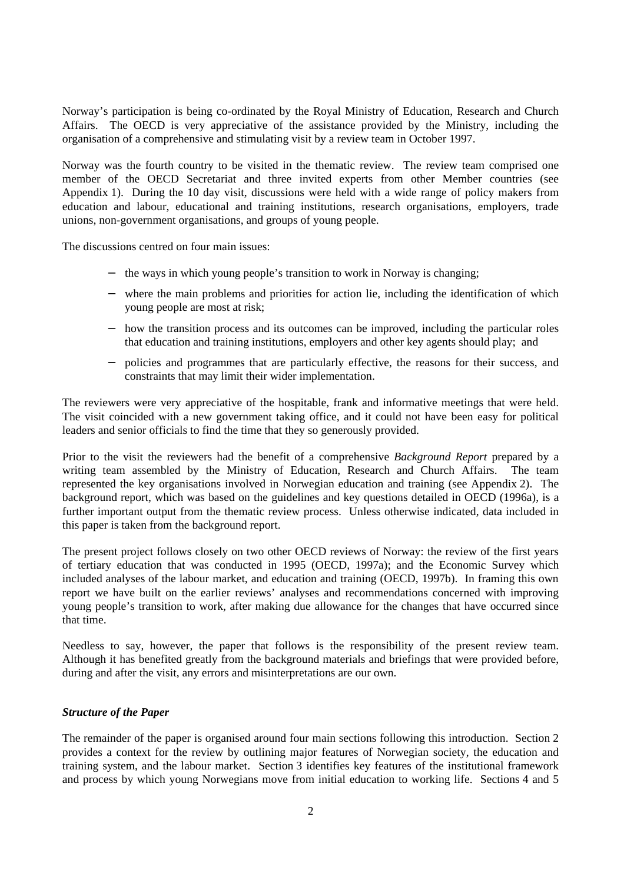Norway's participation is being co-ordinated by the Royal Ministry of Education, Research and Church Affairs. The OECD is very appreciative of the assistance provided by the Ministry, including the organisation of a comprehensive and stimulating visit by a review team in October 1997.

Norway was the fourth country to be visited in the thematic review. The review team comprised one member of the OECD Secretariat and three invited experts from other Member countries (see Appendix 1). During the 10 day visit, discussions were held with a wide range of policy makers from education and labour, educational and training institutions, research organisations, employers, trade unions, non-government organisations, and groups of young people.

The discussions centred on four main issues:

- − the ways in which young people's transition to work in Norway is changing;
- − where the main problems and priorities for action lie, including the identification of which young people are most at risk;
- − how the transition process and its outcomes can be improved, including the particular roles that education and training institutions, employers and other key agents should play; and
- policies and programmes that are particularly effective, the reasons for their success, and constraints that may limit their wider implementation.

The reviewers were very appreciative of the hospitable, frank and informative meetings that were held. The visit coincided with a new government taking office, and it could not have been easy for political leaders and senior officials to find the time that they so generously provided.

Prior to the visit the reviewers had the benefit of a comprehensive *Background Report* prepared by a writing team assembled by the Ministry of Education, Research and Church Affairs. The team represented the key organisations involved in Norwegian education and training (see Appendix 2). The background report, which was based on the guidelines and key questions detailed in OECD (1996a), is a further important output from the thematic review process. Unless otherwise indicated, data included in this paper is taken from the background report.

The present project follows closely on two other OECD reviews of Norway: the review of the first years of tertiary education that was conducted in 1995 (OECD, 1997a); and the Economic Survey which included analyses of the labour market, and education and training (OECD, 1997b). In framing this own report we have built on the earlier reviews' analyses and recommendations concerned with improving young people's transition to work, after making due allowance for the changes that have occurred since that time.

Needless to say, however, the paper that follows is the responsibility of the present review team. Although it has benefited greatly from the background materials and briefings that were provided before, during and after the visit, any errors and misinterpretations are our own.

#### *Structure of the Paper*

The remainder of the paper is organised around four main sections following this introduction. Section 2 provides a context for the review by outlining major features of Norwegian society, the education and training system, and the labour market. Section 3 identifies key features of the institutional framework and process by which young Norwegians move from initial education to working life. Sections 4 and 5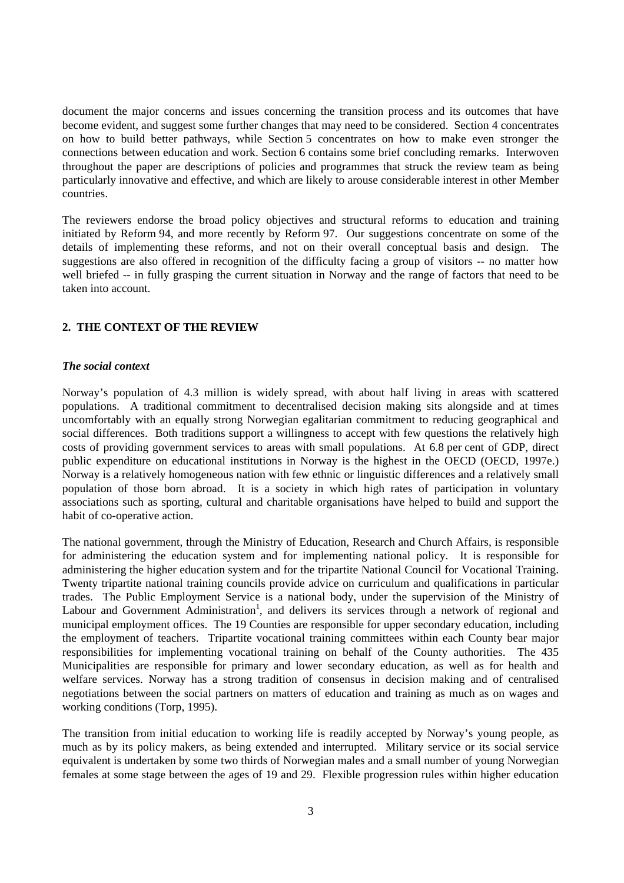document the major concerns and issues concerning the transition process and its outcomes that have become evident, and suggest some further changes that may need to be considered. Section 4 concentrates on how to build better pathways, while Section 5 concentrates on how to make even stronger the connections between education and work. Section 6 contains some brief concluding remarks. Interwoven throughout the paper are descriptions of policies and programmes that struck the review team as being particularly innovative and effective, and which are likely to arouse considerable interest in other Member countries.

The reviewers endorse the broad policy objectives and structural reforms to education and training initiated by Reform 94, and more recently by Reform 97. Our suggestions concentrate on some of the details of implementing these reforms, and not on their overall conceptual basis and design. The suggestions are also offered in recognition of the difficulty facing a group of visitors -- no matter how well briefed -- in fully grasping the current situation in Norway and the range of factors that need to be taken into account.

## **2. THE CONTEXT OF THE REVIEW**

## *The social context*

Norway's population of 4.3 million is widely spread, with about half living in areas with scattered populations. A traditional commitment to decentralised decision making sits alongside and at times uncomfortably with an equally strong Norwegian egalitarian commitment to reducing geographical and social differences. Both traditions support a willingness to accept with few questions the relatively high costs of providing government services to areas with small populations. At 6.8 per cent of GDP, direct public expenditure on educational institutions in Norway is the highest in the OECD (OECD, 1997e.) Norway is a relatively homogeneous nation with few ethnic or linguistic differences and a relatively small population of those born abroad. It is a society in which high rates of participation in voluntary associations such as sporting, cultural and charitable organisations have helped to build and support the habit of co-operative action.

The national government, through the Ministry of Education, Research and Church Affairs, is responsible for administering the education system and for implementing national policy. It is responsible for administering the higher education system and for the tripartite National Council for Vocational Training. Twenty tripartite national training councils provide advice on curriculum and qualifications in particular trades. The Public Employment Service is a national body, under the supervision of the Ministry of Labour and Government Administration<sup>1</sup>, and delivers its services through a network of regional and municipal employment offices. The 19 Counties are responsible for upper secondary education, including the employment of teachers. Tripartite vocational training committees within each County bear major responsibilities for implementing vocational training on behalf of the County authorities. The 435 Municipalities are responsible for primary and lower secondary education, as well as for health and welfare services. Norway has a strong tradition of consensus in decision making and of centralised negotiations between the social partners on matters of education and training as much as on wages and working conditions (Torp, 1995).

The transition from initial education to working life is readily accepted by Norway's young people, as much as by its policy makers, as being extended and interrupted. Military service or its social service equivalent is undertaken by some two thirds of Norwegian males and a small number of young Norwegian females at some stage between the ages of 19 and 29. Flexible progression rules within higher education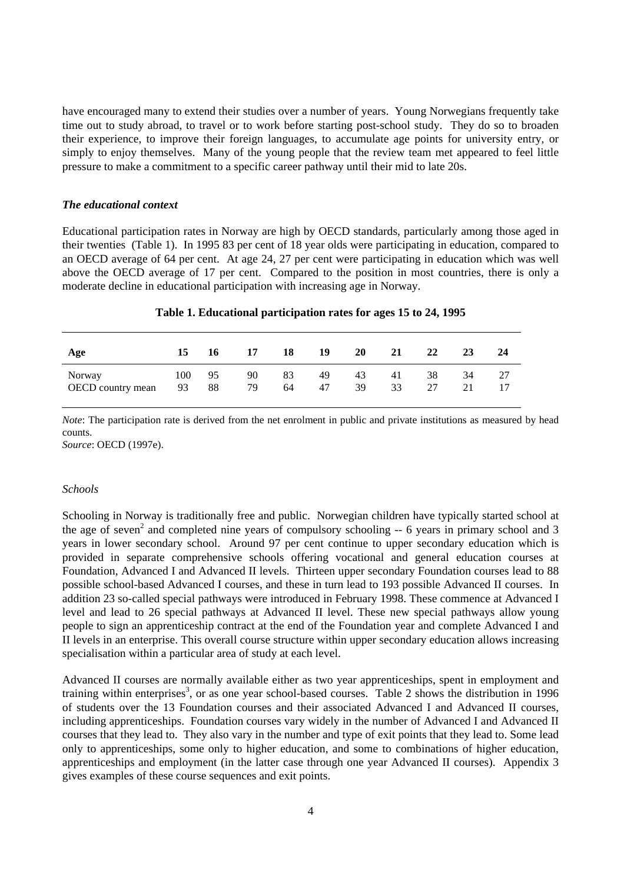have encouraged many to extend their studies over a number of years. Young Norwegians frequently take time out to study abroad, to travel or to work before starting post-school study. They do so to broaden their experience, to improve their foreign languages, to accumulate age points for university entry, or simply to enjoy themselves. Many of the young people that the review team met appeared to feel little pressure to make a commitment to a specific career pathway until their mid to late 20s.

#### *The educational context*

Educational participation rates in Norway are high by OECD standards, particularly among those aged in their twenties (Table 1). In 1995 83 per cent of 18 year olds were participating in education, compared to an OECD average of 64 per cent. At age 24, 27 per cent were participating in education which was well above the OECD average of 17 per cent. Compared to the position in most countries, there is only a moderate decline in educational participation with increasing age in Norway.

| Table 1. Educational participation rates for ages 15 to 24, 1995 |  |
|------------------------------------------------------------------|--|
|                                                                  |  |

| Age               | 15  | 16 | 17 | 18 | 19 | 20 | 21 | 22 | 23 | 24 |
|-------------------|-----|----|----|----|----|----|----|----|----|----|
| Norway            | 100 | 95 | 90 | 83 | 49 | 43 | 41 | 38 | 34 | 27 |
| OECD country mean | 93  | 88 | 79 | 64 | 47 | 39 | 33 | 27 | 21 |    |

*Note*: The participation rate is derived from the net enrolment in public and private institutions as measured by head counts.

*Source*: OECD (1997e).

## *Schools*

Schooling in Norway is traditionally free and public. Norwegian children have typically started school at the age of seven<sup>2</sup> and completed nine years of compulsory schooling  $-6$  years in primary school and 3 years in lower secondary school. Around 97 per cent continue to upper secondary education which is provided in separate comprehensive schools offering vocational and general education courses at Foundation, Advanced I and Advanced II levels. Thirteen upper secondary Foundation courses lead to 88 possible school-based Advanced I courses, and these in turn lead to 193 possible Advanced II courses. In addition 23 so-called special pathways were introduced in February 1998. These commence at Advanced I level and lead to 26 special pathways at Advanced II level. These new special pathways allow young people to sign an apprenticeship contract at the end of the Foundation year and complete Advanced I and II levels in an enterprise. This overall course structure within upper secondary education allows increasing specialisation within a particular area of study at each level.

Advanced II courses are normally available either as two year apprenticeships, spent in employment and training within enterprises<sup>3</sup>, or as one year school-based courses. Table 2 shows the distribution in 1996 of students over the 13 Foundation courses and their associated Advanced I and Advanced II courses, including apprenticeships. Foundation courses vary widely in the number of Advanced I and Advanced II courses that they lead to. They also vary in the number and type of exit points that they lead to. Some lead only to apprenticeships, some only to higher education, and some to combinations of higher education, apprenticeships and employment (in the latter case through one year Advanced II courses). Appendix 3 gives examples of these course sequences and exit points.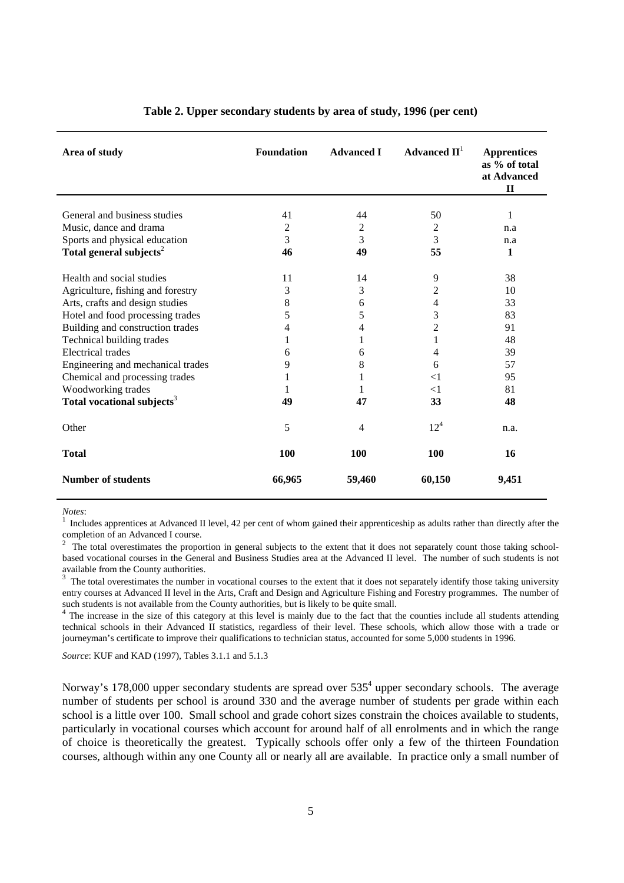| Area of study                          | <b>Foundation</b> | <b>Advanced I</b> | Advanced $\mathbf{II}^{\mathsf{I}}$ | <b>Apprentices</b><br>as % of total<br>at Advanced<br>$\mathbf H$ |
|----------------------------------------|-------------------|-------------------|-------------------------------------|-------------------------------------------------------------------|
|                                        |                   |                   |                                     |                                                                   |
| General and business studies           | 41                | 44                | 50                                  | 1                                                                 |
| Music, dance and drama                 | 2                 | $\overline{2}$    | 2                                   | n.a                                                               |
| Sports and physical education          | 3                 | 3                 | 3                                   | n.a                                                               |
| Total general subjects <sup>2</sup>    | 46                | 49                | 55                                  | 1                                                                 |
| Health and social studies              | 11                | 14                | 9                                   | 38                                                                |
| Agriculture, fishing and forestry      | 3                 | 3                 | 2                                   | 10                                                                |
| Arts, crafts and design studies        | 8                 | 6                 | 4                                   | 33                                                                |
| Hotel and food processing trades       | 5                 | 5                 | 3                                   | 83                                                                |
| Building and construction trades       | 4                 | 4                 | $\overline{c}$                      | 91                                                                |
| Technical building trades              | 1                 | 1                 |                                     | 48                                                                |
| <b>Electrical</b> trades               | 6                 | 6                 | 4                                   | 39                                                                |
| Engineering and mechanical trades      | 9                 | 8                 | 6                                   | 57                                                                |
| Chemical and processing trades         | 1                 | 1                 | $<$ 1                               | 95                                                                |
| Woodworking trades                     | 1                 | 1                 | $<$ 1                               | 81                                                                |
| Total vocational subjects <sup>3</sup> | 49                | 47                | 33                                  | 48                                                                |
| Other                                  | 5                 | 4                 | $12^{4}$                            | n.a.                                                              |
| <b>Total</b>                           | 100               | 100               | 100                                 | 16                                                                |
| <b>Number of students</b>              | 66,965            | 59,460            | 60,150                              | 9,451                                                             |

## **Table 2. Upper secondary students by area of study, 1996 (per cent)**

*Notes*:<br><sup>1</sup> Includes apprentices at Advanced II level, 42 per cent of whom gained their apprenticeship as adults rather than directly after the completion of an Advanced I course.

<sup>2</sup> The total overestimates the proportion in general subjects to the extent that it does not separately count those taking schoolbased vocational courses in the General and Business Studies area at the Advanced II level. The number of such students is not available from the County authorities.

<sup>3</sup> The total overestimates the number in vocational courses to the extent that it does not separately identify those taking university entry courses at Advanced II level in the Arts, Craft and Design and Agriculture Fishing and Forestry programmes. The number of such students is not available from the County authorities, but is likely to be quite small.

<sup>4</sup> The increase in the size of this category at this level is mainly due to the fact that the counties include all students attending technical schools in their Advanced II statistics, regardless of their level. These schools, which allow those with a trade or journeyman's certificate to improve their qualifications to technician status, accounted for some 5,000 students in 1996.

*Source*: KUF and KAD (1997), Tables 3.1.1 and 5.1.3

Norway's 178,000 upper secondary students are spread over  $535<sup>4</sup>$  upper secondary schools. The average number of students per school is around 330 and the average number of students per grade within each school is a little over 100. Small school and grade cohort sizes constrain the choices available to students, particularly in vocational courses which account for around half of all enrolments and in which the range of choice is theoretically the greatest. Typically schools offer only a few of the thirteen Foundation courses, although within any one County all or nearly all are available. In practice only a small number of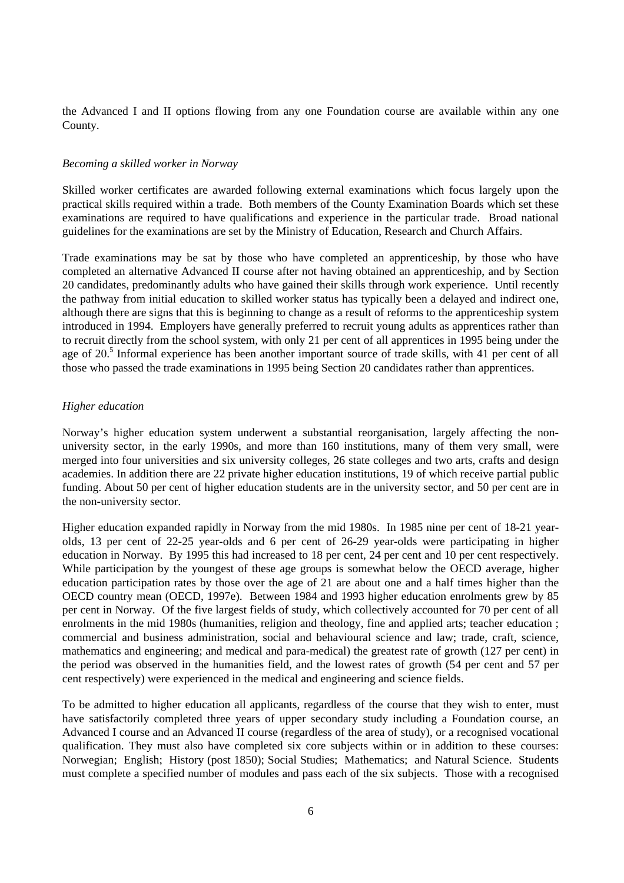the Advanced I and II options flowing from any one Foundation course are available within any one County.

#### *Becoming a skilled worker in Norway*

Skilled worker certificates are awarded following external examinations which focus largely upon the practical skills required within a trade. Both members of the County Examination Boards which set these examinations are required to have qualifications and experience in the particular trade. Broad national guidelines for the examinations are set by the Ministry of Education, Research and Church Affairs.

Trade examinations may be sat by those who have completed an apprenticeship, by those who have completed an alternative Advanced II course after not having obtained an apprenticeship, and by Section 20 candidates, predominantly adults who have gained their skills through work experience. Until recently the pathway from initial education to skilled worker status has typically been a delayed and indirect one, although there are signs that this is beginning to change as a result of reforms to the apprenticeship system introduced in 1994. Employers have generally preferred to recruit young adults as apprentices rather than to recruit directly from the school system, with only 21 per cent of all apprentices in 1995 being under the age of 20.<sup>5</sup> Informal experience has been another important source of trade skills, with 41 per cent of all those who passed the trade examinations in 1995 being Section 20 candidates rather than apprentices.

#### *Higher education*

Norway's higher education system underwent a substantial reorganisation, largely affecting the nonuniversity sector, in the early 1990s, and more than 160 institutions, many of them very small, were merged into four universities and six university colleges, 26 state colleges and two arts, crafts and design academies. In addition there are 22 private higher education institutions, 19 of which receive partial public funding. About 50 per cent of higher education students are in the university sector, and 50 per cent are in the non-university sector.

Higher education expanded rapidly in Norway from the mid 1980s. In 1985 nine per cent of 18-21 yearolds, 13 per cent of 22-25 year-olds and 6 per cent of 26-29 year-olds were participating in higher education in Norway. By 1995 this had increased to 18 per cent, 24 per cent and 10 per cent respectively. While participation by the youngest of these age groups is somewhat below the OECD average, higher education participation rates by those over the age of 21 are about one and a half times higher than the OECD country mean (OECD, 1997e). Between 1984 and 1993 higher education enrolments grew by 85 per cent in Norway. Of the five largest fields of study, which collectively accounted for 70 per cent of all enrolments in the mid 1980s (humanities, religion and theology, fine and applied arts; teacher education ; commercial and business administration, social and behavioural science and law; trade, craft, science, mathematics and engineering; and medical and para-medical) the greatest rate of growth (127 per cent) in the period was observed in the humanities field, and the lowest rates of growth (54 per cent and 57 per cent respectively) were experienced in the medical and engineering and science fields.

To be admitted to higher education all applicants, regardless of the course that they wish to enter, must have satisfactorily completed three years of upper secondary study including a Foundation course, an Advanced I course and an Advanced II course (regardless of the area of study), or a recognised vocational qualification. They must also have completed six core subjects within or in addition to these courses: Norwegian; English; History (post 1850); Social Studies; Mathematics; and Natural Science. Students must complete a specified number of modules and pass each of the six subjects. Those with a recognised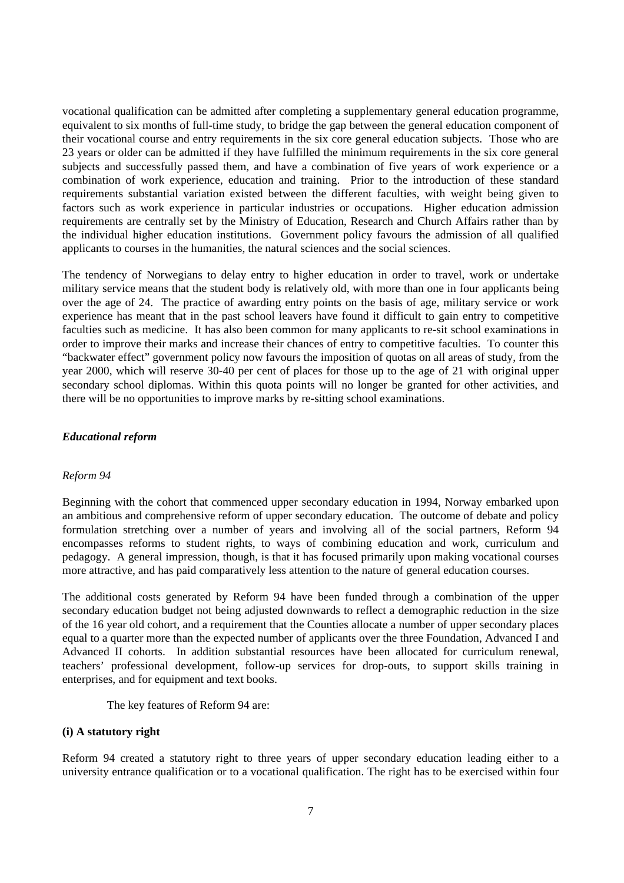vocational qualification can be admitted after completing a supplementary general education programme, equivalent to six months of full-time study, to bridge the gap between the general education component of their vocational course and entry requirements in the six core general education subjects. Those who are 23 years or older can be admitted if they have fulfilled the minimum requirements in the six core general subjects and successfully passed them, and have a combination of five years of work experience or a combination of work experience, education and training. Prior to the introduction of these standard requirements substantial variation existed between the different faculties, with weight being given to factors such as work experience in particular industries or occupations. Higher education admission requirements are centrally set by the Ministry of Education, Research and Church Affairs rather than by the individual higher education institutions. Government policy favours the admission of all qualified applicants to courses in the humanities, the natural sciences and the social sciences.

The tendency of Norwegians to delay entry to higher education in order to travel, work or undertake military service means that the student body is relatively old, with more than one in four applicants being over the age of 24. The practice of awarding entry points on the basis of age, military service or work experience has meant that in the past school leavers have found it difficult to gain entry to competitive faculties such as medicine. It has also been common for many applicants to re-sit school examinations in order to improve their marks and increase their chances of entry to competitive faculties. To counter this "backwater effect" government policy now favours the imposition of quotas on all areas of study, from the year 2000, which will reserve 30-40 per cent of places for those up to the age of 21 with original upper secondary school diplomas. Within this quota points will no longer be granted for other activities, and there will be no opportunities to improve marks by re-sitting school examinations.

## *Educational reform*

#### *Reform 94*

Beginning with the cohort that commenced upper secondary education in 1994, Norway embarked upon an ambitious and comprehensive reform of upper secondary education. The outcome of debate and policy formulation stretching over a number of years and involving all of the social partners, Reform 94 encompasses reforms to student rights, to ways of combining education and work, curriculum and pedagogy. A general impression, though, is that it has focused primarily upon making vocational courses more attractive, and has paid comparatively less attention to the nature of general education courses.

The additional costs generated by Reform 94 have been funded through a combination of the upper secondary education budget not being adjusted downwards to reflect a demographic reduction in the size of the 16 year old cohort, and a requirement that the Counties allocate a number of upper secondary places equal to a quarter more than the expected number of applicants over the three Foundation, Advanced I and Advanced II cohorts. In addition substantial resources have been allocated for curriculum renewal, teachers' professional development, follow-up services for drop-outs, to support skills training in enterprises, and for equipment and text books.

The key features of Reform 94 are:

## **(i) A statutory right**

Reform 94 created a statutory right to three years of upper secondary education leading either to a university entrance qualification or to a vocational qualification. The right has to be exercised within four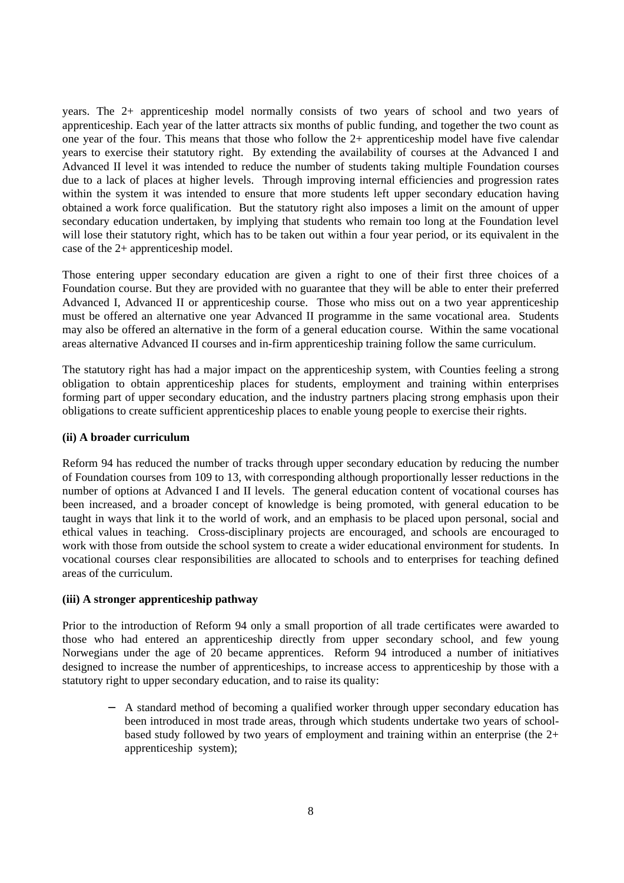years. The 2+ apprenticeship model normally consists of two years of school and two years of apprenticeship. Each year of the latter attracts six months of public funding, and together the two count as one year of the four. This means that those who follow the 2+ apprenticeship model have five calendar years to exercise their statutory right. By extending the availability of courses at the Advanced I and Advanced II level it was intended to reduce the number of students taking multiple Foundation courses due to a lack of places at higher levels. Through improving internal efficiencies and progression rates within the system it was intended to ensure that more students left upper secondary education having obtained a work force qualification. But the statutory right also imposes a limit on the amount of upper secondary education undertaken, by implying that students who remain too long at the Foundation level will lose their statutory right, which has to be taken out within a four year period, or its equivalent in the case of the 2+ apprenticeship model.

Those entering upper secondary education are given a right to one of their first three choices of a Foundation course. But they are provided with no guarantee that they will be able to enter their preferred Advanced I, Advanced II or apprenticeship course. Those who miss out on a two year apprenticeship must be offered an alternative one year Advanced II programme in the same vocational area. Students may also be offered an alternative in the form of a general education course. Within the same vocational areas alternative Advanced II courses and in-firm apprenticeship training follow the same curriculum.

The statutory right has had a major impact on the apprenticeship system, with Counties feeling a strong obligation to obtain apprenticeship places for students, employment and training within enterprises forming part of upper secondary education, and the industry partners placing strong emphasis upon their obligations to create sufficient apprenticeship places to enable young people to exercise their rights.

## **(ii) A broader curriculum**

Reform 94 has reduced the number of tracks through upper secondary education by reducing the number of Foundation courses from 109 to 13, with corresponding although proportionally lesser reductions in the number of options at Advanced I and II levels. The general education content of vocational courses has been increased, and a broader concept of knowledge is being promoted, with general education to be taught in ways that link it to the world of work, and an emphasis to be placed upon personal, social and ethical values in teaching. Cross-disciplinary projects are encouraged, and schools are encouraged to work with those from outside the school system to create a wider educational environment for students. In vocational courses clear responsibilities are allocated to schools and to enterprises for teaching defined areas of the curriculum.

## **(iii) A stronger apprenticeship pathway**

Prior to the introduction of Reform 94 only a small proportion of all trade certificates were awarded to those who had entered an apprenticeship directly from upper secondary school, and few young Norwegians under the age of 20 became apprentices. Reform 94 introduced a number of initiatives designed to increase the number of apprenticeships, to increase access to apprenticeship by those with a statutory right to upper secondary education, and to raise its quality:

− A standard method of becoming a qualified worker through upper secondary education has been introduced in most trade areas, through which students undertake two years of schoolbased study followed by two years of employment and training within an enterprise (the 2+ apprenticeship system);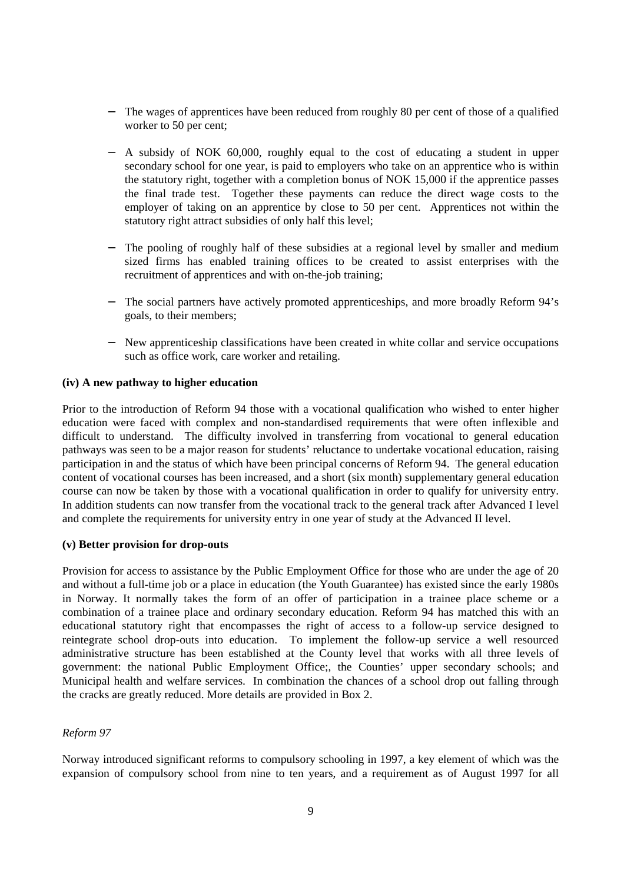- − The wages of apprentices have been reduced from roughly 80 per cent of those of a qualified worker to 50 per cent;
- − A subsidy of NOK 60,000, roughly equal to the cost of educating a student in upper secondary school for one year, is paid to employers who take on an apprentice who is within the statutory right, together with a completion bonus of NOK 15,000 if the apprentice passes the final trade test. Together these payments can reduce the direct wage costs to the employer of taking on an apprentice by close to 50 per cent. Apprentices not within the statutory right attract subsidies of only half this level;
- The pooling of roughly half of these subsidies at a regional level by smaller and medium sized firms has enabled training offices to be created to assist enterprises with the recruitment of apprentices and with on-the-job training;
- The social partners have actively promoted apprenticeships, and more broadly Reform 94's goals, to their members;
- − New apprenticeship classifications have been created in white collar and service occupations such as office work, care worker and retailing.

## **(iv) A new pathway to higher education**

Prior to the introduction of Reform 94 those with a vocational qualification who wished to enter higher education were faced with complex and non-standardised requirements that were often inflexible and difficult to understand. The difficulty involved in transferring from vocational to general education pathways was seen to be a major reason for students' reluctance to undertake vocational education, raising participation in and the status of which have been principal concerns of Reform 94. The general education content of vocational courses has been increased, and a short (six month) supplementary general education course can now be taken by those with a vocational qualification in order to qualify for university entry. In addition students can now transfer from the vocational track to the general track after Advanced I level and complete the requirements for university entry in one year of study at the Advanced II level.

## **(v) Better provision for drop-outs**

Provision for access to assistance by the Public Employment Office for those who are under the age of 20 and without a full-time job or a place in education (the Youth Guarantee) has existed since the early 1980s in Norway. It normally takes the form of an offer of participation in a trainee place scheme or a combination of a trainee place and ordinary secondary education. Reform 94 has matched this with an educational statutory right that encompasses the right of access to a follow-up service designed to reintegrate school drop-outs into education. To implement the follow-up service a well resourced administrative structure has been established at the County level that works with all three levels of government: the national Public Employment Office;, the Counties' upper secondary schools; and Municipal health and welfare services. In combination the chances of a school drop out falling through the cracks are greatly reduced. More details are provided in Box 2.

## *Reform 97*

Norway introduced significant reforms to compulsory schooling in 1997, a key element of which was the expansion of compulsory school from nine to ten years, and a requirement as of August 1997 for all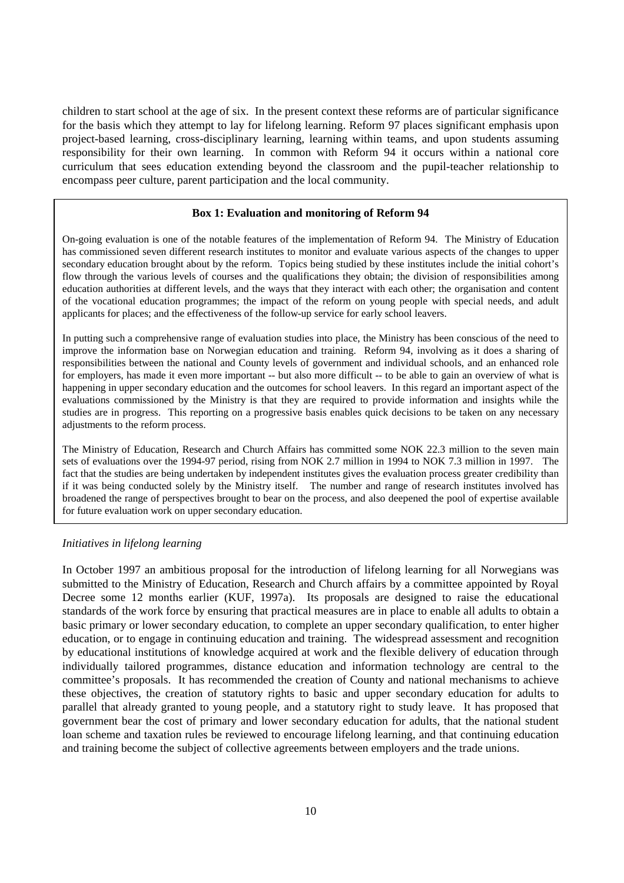children to start school at the age of six. In the present context these reforms are of particular significance for the basis which they attempt to lay for lifelong learning. Reform 97 places significant emphasis upon project-based learning, cross-disciplinary learning, learning within teams, and upon students assuming responsibility for their own learning. In common with Reform 94 it occurs within a national core curriculum that sees education extending beyond the classroom and the pupil-teacher relationship to encompass peer culture, parent participation and the local community.

## **Box 1: Evaluation and monitoring of Reform 94**

On-going evaluation is one of the notable features of the implementation of Reform 94. The Ministry of Education has commissioned seven different research institutes to monitor and evaluate various aspects of the changes to upper secondary education brought about by the reform. Topics being studied by these institutes include the initial cohort's flow through the various levels of courses and the qualifications they obtain; the division of responsibilities among education authorities at different levels, and the ways that they interact with each other; the organisation and content of the vocational education programmes; the impact of the reform on young people with special needs, and adult applicants for places; and the effectiveness of the follow-up service for early school leavers.

In putting such a comprehensive range of evaluation studies into place, the Ministry has been conscious of the need to improve the information base on Norwegian education and training. Reform 94, involving as it does a sharing of responsibilities between the national and County levels of government and individual schools, and an enhanced role for employers, has made it even more important -- but also more difficult -- to be able to gain an overview of what is happening in upper secondary education and the outcomes for school leavers. In this regard an important aspect of the evaluations commissioned by the Ministry is that they are required to provide information and insights while the studies are in progress. This reporting on a progressive basis enables quick decisions to be taken on any necessary adjustments to the reform process.

The Ministry of Education, Research and Church Affairs has committed some NOK 22.3 million to the seven main sets of evaluations over the 1994-97 period, rising from NOK 2.7 million in 1994 to NOK 7.3 million in 1997. The fact that the studies are being undertaken by independent institutes gives the evaluation process greater credibility than if it was being conducted solely by the Ministry itself. The number and range of research institutes involved has broadened the range of perspectives brought to bear on the process, and also deepened the pool of expertise available for future evaluation work on upper secondary education.

#### *Initiatives in lifelong learning*

In October 1997 an ambitious proposal for the introduction of lifelong learning for all Norwegians was submitted to the Ministry of Education, Research and Church affairs by a committee appointed by Royal Decree some 12 months earlier (KUF, 1997a). Its proposals are designed to raise the educational standards of the work force by ensuring that practical measures are in place to enable all adults to obtain a basic primary or lower secondary education, to complete an upper secondary qualification, to enter higher education, or to engage in continuing education and training. The widespread assessment and recognition by educational institutions of knowledge acquired at work and the flexible delivery of education through individually tailored programmes, distance education and information technology are central to the committee's proposals. It has recommended the creation of County and national mechanisms to achieve these objectives, the creation of statutory rights to basic and upper secondary education for adults to parallel that already granted to young people, and a statutory right to study leave. It has proposed that government bear the cost of primary and lower secondary education for adults, that the national student loan scheme and taxation rules be reviewed to encourage lifelong learning, and that continuing education and training become the subject of collective agreements between employers and the trade unions.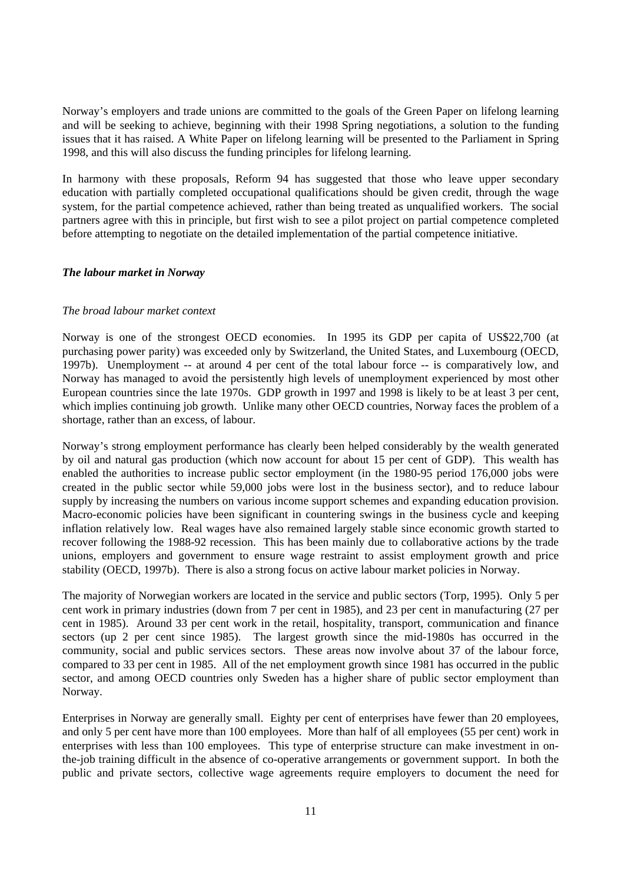Norway's employers and trade unions are committed to the goals of the Green Paper on lifelong learning and will be seeking to achieve, beginning with their 1998 Spring negotiations, a solution to the funding issues that it has raised. A White Paper on lifelong learning will be presented to the Parliament in Spring 1998, and this will also discuss the funding principles for lifelong learning.

In harmony with these proposals. Reform 94 has suggested that those who leave upper secondary education with partially completed occupational qualifications should be given credit, through the wage system, for the partial competence achieved, rather than being treated as unqualified workers. The social partners agree with this in principle, but first wish to see a pilot project on partial competence completed before attempting to negotiate on the detailed implementation of the partial competence initiative.

#### *The labour market in Norway*

## *The broad labour market context*

Norway is one of the strongest OECD economies. In 1995 its GDP per capita of US\$22,700 (at purchasing power parity) was exceeded only by Switzerland, the United States, and Luxembourg (OECD, 1997b). Unemployment -- at around 4 per cent of the total labour force -- is comparatively low, and Norway has managed to avoid the persistently high levels of unemployment experienced by most other European countries since the late 1970s. GDP growth in 1997 and 1998 is likely to be at least 3 per cent, which implies continuing job growth. Unlike many other OECD countries, Norway faces the problem of a shortage, rather than an excess, of labour.

Norway's strong employment performance has clearly been helped considerably by the wealth generated by oil and natural gas production (which now account for about 15 per cent of GDP). This wealth has enabled the authorities to increase public sector employment (in the 1980-95 period 176,000 jobs were created in the public sector while 59,000 jobs were lost in the business sector), and to reduce labour supply by increasing the numbers on various income support schemes and expanding education provision. Macro-economic policies have been significant in countering swings in the business cycle and keeping inflation relatively low. Real wages have also remained largely stable since economic growth started to recover following the 1988-92 recession. This has been mainly due to collaborative actions by the trade unions, employers and government to ensure wage restraint to assist employment growth and price stability (OECD, 1997b). There is also a strong focus on active labour market policies in Norway.

The majority of Norwegian workers are located in the service and public sectors (Torp, 1995). Only 5 per cent work in primary industries (down from 7 per cent in 1985), and 23 per cent in manufacturing (27 per cent in 1985). Around 33 per cent work in the retail, hospitality, transport, communication and finance sectors (up 2 per cent since 1985). The largest growth since the mid-1980s has occurred in the community, social and public services sectors. These areas now involve about 37 of the labour force, compared to 33 per cent in 1985. All of the net employment growth since 1981 has occurred in the public sector, and among OECD countries only Sweden has a higher share of public sector employment than Norway.

Enterprises in Norway are generally small. Eighty per cent of enterprises have fewer than 20 employees, and only 5 per cent have more than 100 employees. More than half of all employees (55 per cent) work in enterprises with less than 100 employees. This type of enterprise structure can make investment in onthe-job training difficult in the absence of co-operative arrangements or government support. In both the public and private sectors, collective wage agreements require employers to document the need for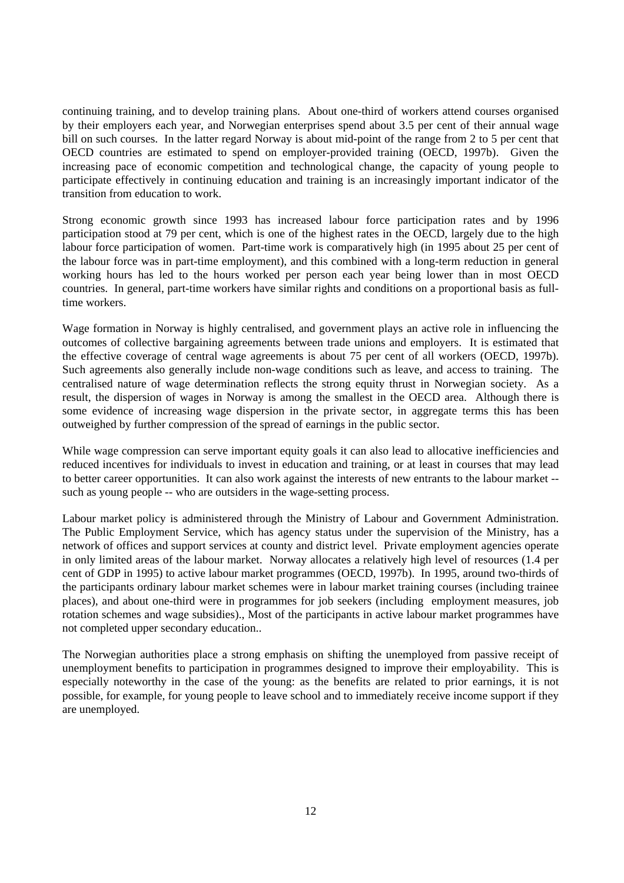continuing training, and to develop training plans. About one-third of workers attend courses organised by their employers each year, and Norwegian enterprises spend about 3.5 per cent of their annual wage bill on such courses. In the latter regard Norway is about mid-point of the range from 2 to 5 per cent that OECD countries are estimated to spend on employer-provided training (OECD, 1997b). Given the increasing pace of economic competition and technological change, the capacity of young people to participate effectively in continuing education and training is an increasingly important indicator of the transition from education to work.

Strong economic growth since 1993 has increased labour force participation rates and by 1996 participation stood at 79 per cent, which is one of the highest rates in the OECD, largely due to the high labour force participation of women. Part-time work is comparatively high (in 1995 about 25 per cent of the labour force was in part-time employment), and this combined with a long-term reduction in general working hours has led to the hours worked per person each year being lower than in most OECD countries. In general, part-time workers have similar rights and conditions on a proportional basis as fulltime workers.

Wage formation in Norway is highly centralised, and government plays an active role in influencing the outcomes of collective bargaining agreements between trade unions and employers. It is estimated that the effective coverage of central wage agreements is about 75 per cent of all workers (OECD, 1997b). Such agreements also generally include non-wage conditions such as leave, and access to training. The centralised nature of wage determination reflects the strong equity thrust in Norwegian society. As a result, the dispersion of wages in Norway is among the smallest in the OECD area. Although there is some evidence of increasing wage dispersion in the private sector, in aggregate terms this has been outweighed by further compression of the spread of earnings in the public sector.

While wage compression can serve important equity goals it can also lead to allocative inefficiencies and reduced incentives for individuals to invest in education and training, or at least in courses that may lead to better career opportunities. It can also work against the interests of new entrants to the labour market - such as young people -- who are outsiders in the wage-setting process.

Labour market policy is administered through the Ministry of Labour and Government Administration. The Public Employment Service, which has agency status under the supervision of the Ministry, has a network of offices and support services at county and district level. Private employment agencies operate in only limited areas of the labour market. Norway allocates a relatively high level of resources (1.4 per cent of GDP in 1995) to active labour market programmes (OECD, 1997b). In 1995, around two-thirds of the participants ordinary labour market schemes were in labour market training courses (including trainee places), and about one-third were in programmes for job seekers (including employment measures, job rotation schemes and wage subsidies)., Most of the participants in active labour market programmes have not completed upper secondary education..

The Norwegian authorities place a strong emphasis on shifting the unemployed from passive receipt of unemployment benefits to participation in programmes designed to improve their employability. This is especially noteworthy in the case of the young: as the benefits are related to prior earnings, it is not possible, for example, for young people to leave school and to immediately receive income support if they are unemployed.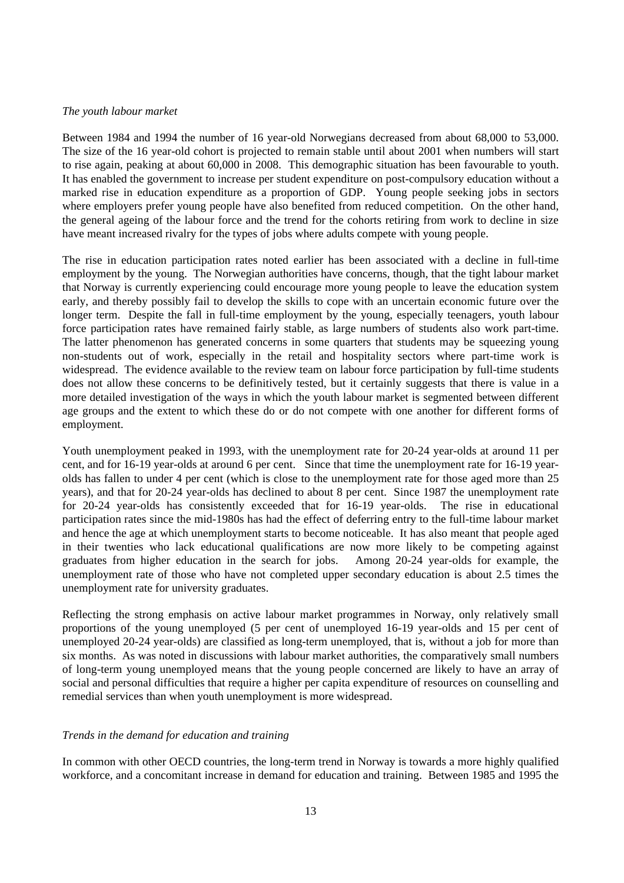#### *The youth labour market*

Between 1984 and 1994 the number of 16 year-old Norwegians decreased from about 68,000 to 53,000. The size of the 16 year-old cohort is projected to remain stable until about 2001 when numbers will start to rise again, peaking at about 60,000 in 2008. This demographic situation has been favourable to youth. It has enabled the government to increase per student expenditure on post-compulsory education without a marked rise in education expenditure as a proportion of GDP. Young people seeking jobs in sectors where employers prefer young people have also benefited from reduced competition. On the other hand, the general ageing of the labour force and the trend for the cohorts retiring from work to decline in size have meant increased rivalry for the types of jobs where adults compete with young people.

The rise in education participation rates noted earlier has been associated with a decline in full-time employment by the young. The Norwegian authorities have concerns, though, that the tight labour market that Norway is currently experiencing could encourage more young people to leave the education system early, and thereby possibly fail to develop the skills to cope with an uncertain economic future over the longer term. Despite the fall in full-time employment by the young, especially teenagers, youth labour force participation rates have remained fairly stable, as large numbers of students also work part-time. The latter phenomenon has generated concerns in some quarters that students may be squeezing young non-students out of work, especially in the retail and hospitality sectors where part-time work is widespread. The evidence available to the review team on labour force participation by full-time students does not allow these concerns to be definitively tested, but it certainly suggests that there is value in a more detailed investigation of the ways in which the youth labour market is segmented between different age groups and the extent to which these do or do not compete with one another for different forms of employment.

Youth unemployment peaked in 1993, with the unemployment rate for 20-24 year-olds at around 11 per cent, and for 16-19 year-olds at around 6 per cent. Since that time the unemployment rate for 16-19 yearolds has fallen to under 4 per cent (which is close to the unemployment rate for those aged more than 25 years), and that for 20-24 year-olds has declined to about 8 per cent. Since 1987 the unemployment rate for 20-24 year-olds has consistently exceeded that for 16-19 year-olds. The rise in educational participation rates since the mid-1980s has had the effect of deferring entry to the full-time labour market and hence the age at which unemployment starts to become noticeable. It has also meant that people aged in their twenties who lack educational qualifications are now more likely to be competing against graduates from higher education in the search for jobs. Among 20-24 year-olds for example, the unemployment rate of those who have not completed upper secondary education is about 2.5 times the unemployment rate for university graduates.

Reflecting the strong emphasis on active labour market programmes in Norway, only relatively small proportions of the young unemployed (5 per cent of unemployed 16-19 year-olds and 15 per cent of unemployed 20-24 year-olds) are classified as long-term unemployed, that is, without a job for more than six months. As was noted in discussions with labour market authorities, the comparatively small numbers of long-term young unemployed means that the young people concerned are likely to have an array of social and personal difficulties that require a higher per capita expenditure of resources on counselling and remedial services than when youth unemployment is more widespread.

## *Trends in the demand for education and training*

In common with other OECD countries, the long-term trend in Norway is towards a more highly qualified workforce, and a concomitant increase in demand for education and training. Between 1985 and 1995 the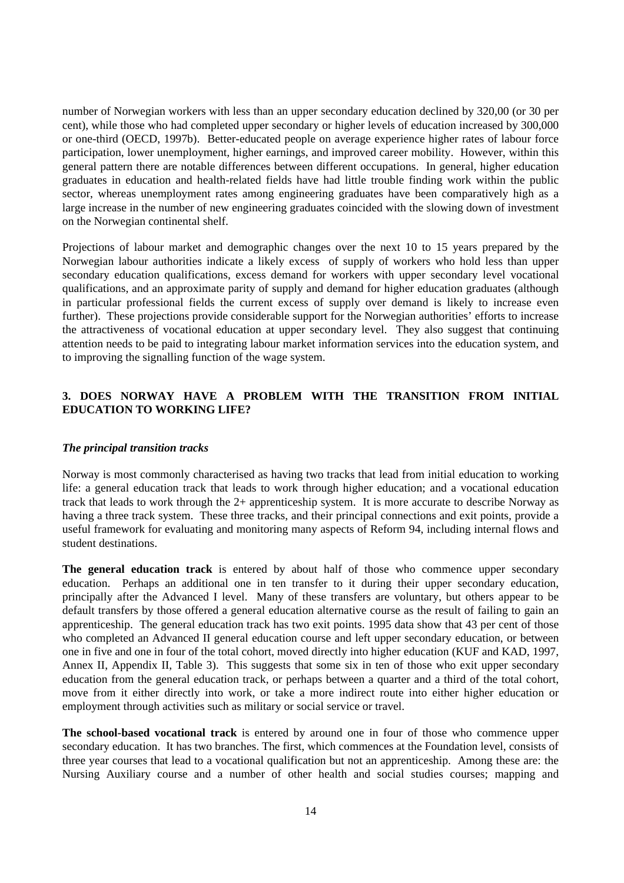number of Norwegian workers with less than an upper secondary education declined by 320,00 (or 30 per cent), while those who had completed upper secondary or higher levels of education increased by 300,000 or one-third (OECD, 1997b). Better-educated people on average experience higher rates of labour force participation, lower unemployment, higher earnings, and improved career mobility. However, within this general pattern there are notable differences between different occupations. In general, higher education graduates in education and health-related fields have had little trouble finding work within the public sector, whereas unemployment rates among engineering graduates have been comparatively high as a large increase in the number of new engineering graduates coincided with the slowing down of investment on the Norwegian continental shelf.

Projections of labour market and demographic changes over the next 10 to 15 years prepared by the Norwegian labour authorities indicate a likely excess of supply of workers who hold less than upper secondary education qualifications, excess demand for workers with upper secondary level vocational qualifications, and an approximate parity of supply and demand for higher education graduates (although in particular professional fields the current excess of supply over demand is likely to increase even further). These projections provide considerable support for the Norwegian authorities' efforts to increase the attractiveness of vocational education at upper secondary level. They also suggest that continuing attention needs to be paid to integrating labour market information services into the education system, and to improving the signalling function of the wage system.

## **3. DOES NORWAY HAVE A PROBLEM WITH THE TRANSITION FROM INITIAL EDUCATION TO WORKING LIFE?**

#### *The principal transition tracks*

Norway is most commonly characterised as having two tracks that lead from initial education to working life: a general education track that leads to work through higher education; and a vocational education track that leads to work through the 2+ apprenticeship system. It is more accurate to describe Norway as having a three track system. These three tracks, and their principal connections and exit points, provide a useful framework for evaluating and monitoring many aspects of Reform 94, including internal flows and student destinations.

**The general education track** is entered by about half of those who commence upper secondary education. Perhaps an additional one in ten transfer to it during their upper secondary education, principally after the Advanced I level. Many of these transfers are voluntary, but others appear to be default transfers by those offered a general education alternative course as the result of failing to gain an apprenticeship. The general education track has two exit points. 1995 data show that 43 per cent of those who completed an Advanced II general education course and left upper secondary education, or between one in five and one in four of the total cohort, moved directly into higher education (KUF and KAD, 1997, Annex II, Appendix II, Table 3). This suggests that some six in ten of those who exit upper secondary education from the general education track, or perhaps between a quarter and a third of the total cohort, move from it either directly into work, or take a more indirect route into either higher education or employment through activities such as military or social service or travel.

**The school-based vocational track** is entered by around one in four of those who commence upper secondary education. It has two branches. The first, which commences at the Foundation level, consists of three year courses that lead to a vocational qualification but not an apprenticeship. Among these are: the Nursing Auxiliary course and a number of other health and social studies courses; mapping and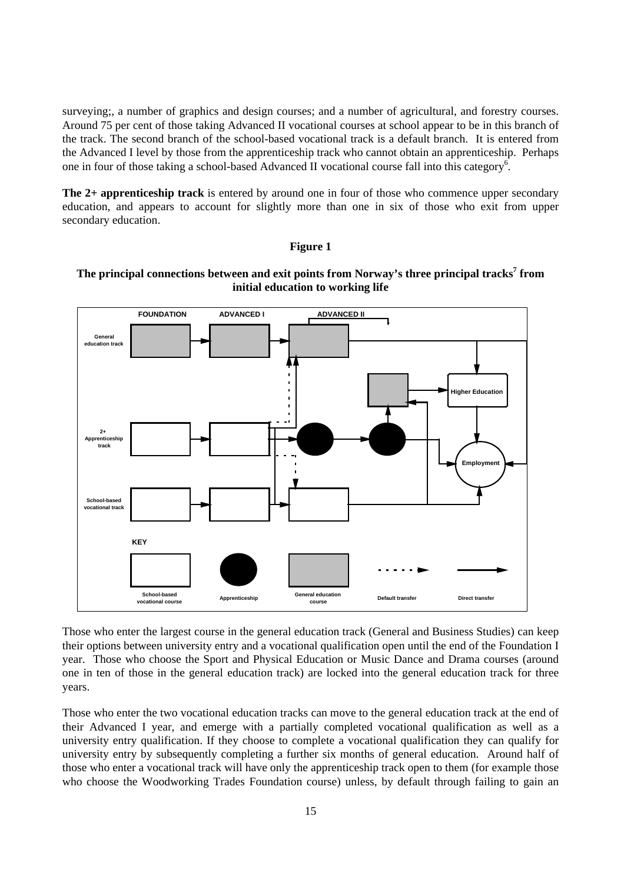surveying;, a number of graphics and design courses; and a number of agricultural, and forestry courses. Around 75 per cent of those taking Advanced II vocational courses at school appear to be in this branch of the track. The second branch of the school-based vocational track is a default branch. It is entered from the Advanced I level by those from the apprenticeship track who cannot obtain an apprenticeship. Perhaps one in four of those taking a school-based Advanced II vocational course fall into this category<sup>6</sup>.

**The 2+ apprenticeship track** is entered by around one in four of those who commence upper secondary education, and appears to account for slightly more than one in six of those who exit from upper secondary education.

#### **Figure 1**



## **The principal connections between and exit points from Norway's three principal tracks<sup>7</sup> from initial education to working life**

Those who enter the largest course in the general education track (General and Business Studies) can keep their options between university entry and a vocational qualification open until the end of the Foundation I year. Those who choose the Sport and Physical Education or Music Dance and Drama courses (around one in ten of those in the general education track) are locked into the general education track for three years.

Those who enter the two vocational education tracks can move to the general education track at the end of their Advanced I year, and emerge with a partially completed vocational qualification as well as a university entry qualification. If they choose to complete a vocational qualification they can qualify for university entry by subsequently completing a further six months of general education. Around half of those who enter a vocational track will have only the apprenticeship track open to them (for example those who choose the Woodworking Trades Foundation course) unless, by default through failing to gain an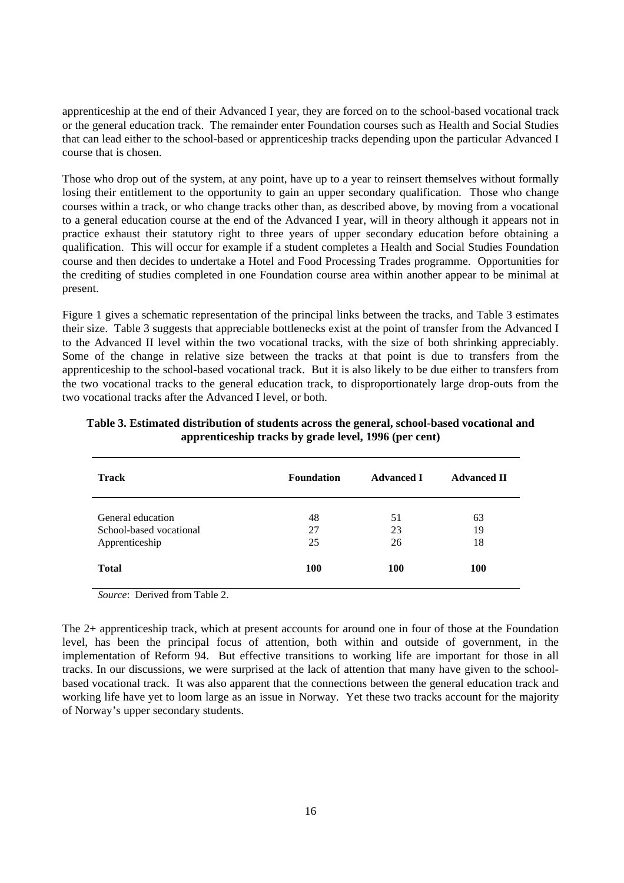apprenticeship at the end of their Advanced I year, they are forced on to the school-based vocational track or the general education track. The remainder enter Foundation courses such as Health and Social Studies that can lead either to the school-based or apprenticeship tracks depending upon the particular Advanced I course that is chosen.

Those who drop out of the system, at any point, have up to a year to reinsert themselves without formally losing their entitlement to the opportunity to gain an upper secondary qualification. Those who change courses within a track, or who change tracks other than, as described above, by moving from a vocational to a general education course at the end of the Advanced I year, will in theory although it appears not in practice exhaust their statutory right to three years of upper secondary education before obtaining a qualification. This will occur for example if a student completes a Health and Social Studies Foundation course and then decides to undertake a Hotel and Food Processing Trades programme. Opportunities for the crediting of studies completed in one Foundation course area within another appear to be minimal at present.

Figure 1 gives a schematic representation of the principal links between the tracks, and Table 3 estimates their size. Table 3 suggests that appreciable bottlenecks exist at the point of transfer from the Advanced I to the Advanced II level within the two vocational tracks, with the size of both shrinking appreciably. Some of the change in relative size between the tracks at that point is due to transfers from the apprenticeship to the school-based vocational track. But it is also likely to be due either to transfers from the two vocational tracks to the general education track, to disproportionately large drop-outs from the two vocational tracks after the Advanced I level, or both.

| <b>Track</b>                                                   | <b>Foundation</b> | <b>Advanced I</b> | <b>Advanced II</b> |
|----------------------------------------------------------------|-------------------|-------------------|--------------------|
| General education<br>School-based vocational<br>Apprenticeship | 48<br>27<br>25    | 51<br>23<br>26    | 63<br>19<br>18     |
| <b>Total</b>                                                   | 100               | 100               | 100                |

**Table 3. Estimated distribution of students across the general, school-based vocational and apprenticeship tracks by grade level, 1996 (per cent)**

*Source*: Derived from Table 2.

The 2+ apprenticeship track, which at present accounts for around one in four of those at the Foundation level, has been the principal focus of attention, both within and outside of government, in the implementation of Reform 94. But effective transitions to working life are important for those in all tracks. In our discussions, we were surprised at the lack of attention that many have given to the schoolbased vocational track. It was also apparent that the connections between the general education track and working life have yet to loom large as an issue in Norway. Yet these two tracks account for the majority of Norway's upper secondary students.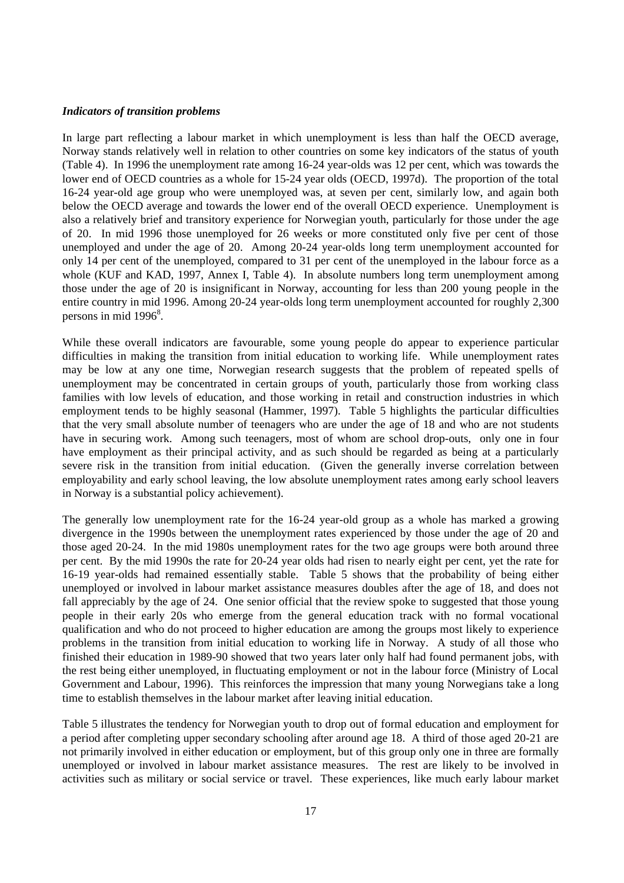#### *Indicators of transition problems*

In large part reflecting a labour market in which unemployment is less than half the OECD average, Norway stands relatively well in relation to other countries on some key indicators of the status of youth (Table 4). In 1996 the unemployment rate among 16-24 year-olds was 12 per cent, which was towards the lower end of OECD countries as a whole for 15-24 year olds (OECD, 1997d). The proportion of the total 16-24 year-old age group who were unemployed was, at seven per cent, similarly low, and again both below the OECD average and towards the lower end of the overall OECD experience. Unemployment is also a relatively brief and transitory experience for Norwegian youth, particularly for those under the age of 20. In mid 1996 those unemployed for 26 weeks or more constituted only five per cent of those unemployed and under the age of 20. Among 20-24 year-olds long term unemployment accounted for only 14 per cent of the unemployed, compared to 31 per cent of the unemployed in the labour force as a whole (KUF and KAD, 1997, Annex I, Table 4). In absolute numbers long term unemployment among those under the age of 20 is insignificant in Norway, accounting for less than 200 young people in the entire country in mid 1996. Among 20-24 year-olds long term unemployment accounted for roughly 2,300 persons in mid  $1996^8$ .

While these overall indicators are favourable, some young people do appear to experience particular difficulties in making the transition from initial education to working life. While unemployment rates may be low at any one time, Norwegian research suggests that the problem of repeated spells of unemployment may be concentrated in certain groups of youth, particularly those from working class families with low levels of education, and those working in retail and construction industries in which employment tends to be highly seasonal (Hammer, 1997). Table 5 highlights the particular difficulties that the very small absolute number of teenagers who are under the age of 18 and who are not students have in securing work. Among such teenagers, most of whom are school drop-outs, only one in four have employment as their principal activity, and as such should be regarded as being at a particularly severe risk in the transition from initial education. (Given the generally inverse correlation between employability and early school leaving, the low absolute unemployment rates among early school leavers in Norway is a substantial policy achievement).

The generally low unemployment rate for the 16-24 year-old group as a whole has marked a growing divergence in the 1990s between the unemployment rates experienced by those under the age of 20 and those aged 20-24. In the mid 1980s unemployment rates for the two age groups were both around three per cent. By the mid 1990s the rate for 20-24 year olds had risen to nearly eight per cent, yet the rate for 16-19 year-olds had remained essentially stable. Table 5 shows that the probability of being either unemployed or involved in labour market assistance measures doubles after the age of 18, and does not fall appreciably by the age of 24. One senior official that the review spoke to suggested that those young people in their early 20s who emerge from the general education track with no formal vocational qualification and who do not proceed to higher education are among the groups most likely to experience problems in the transition from initial education to working life in Norway. A study of all those who finished their education in 1989-90 showed that two years later only half had found permanent jobs, with the rest being either unemployed, in fluctuating employment or not in the labour force (Ministry of Local Government and Labour, 1996). This reinforces the impression that many young Norwegians take a long time to establish themselves in the labour market after leaving initial education.

Table 5 illustrates the tendency for Norwegian youth to drop out of formal education and employment for a period after completing upper secondary schooling after around age 18. A third of those aged 20-21 are not primarily involved in either education or employment, but of this group only one in three are formally unemployed or involved in labour market assistance measures. The rest are likely to be involved in activities such as military or social service or travel. These experiences, like much early labour market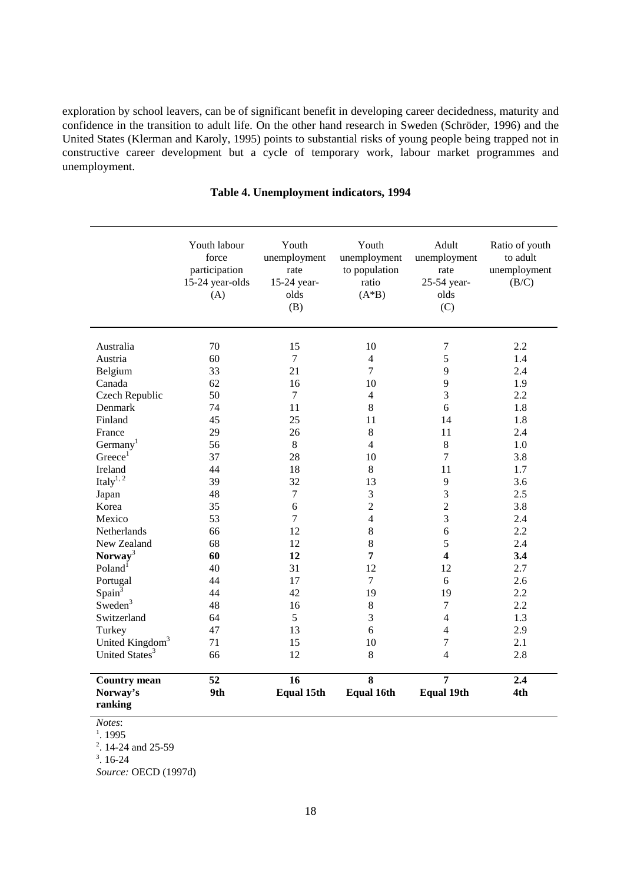exploration by school leavers, can be of significant benefit in developing career decidedness, maturity and confidence in the transition to adult life. On the other hand research in Sweden (Schröder, 1996) and the United States (Klerman and Karoly, 1995) points to substantial risks of young people being trapped not in constructive career development but a cycle of temporary work, labour market programmes and unemployment.

|                             | Youth labour<br>force<br>participation<br>15-24 year-olds<br>(A) | Youth<br>unemployment<br>rate<br>15-24 year-<br>olds<br>(B) | Youth<br>unemployment<br>to population<br>ratio<br>$(A*B)$ | Adult<br>unemployment<br>rate<br>25-54 year-<br>olds<br>(C) | Ratio of youth<br>to adult<br>unemployment<br>(B/C) |
|-----------------------------|------------------------------------------------------------------|-------------------------------------------------------------|------------------------------------------------------------|-------------------------------------------------------------|-----------------------------------------------------|
| Australia                   | 70                                                               | 15                                                          | 10                                                         | $\tau$                                                      | 2.2                                                 |
| Austria                     | 60                                                               | $\tau$                                                      | $\overline{4}$                                             | $\sqrt{5}$                                                  | 1.4                                                 |
| Belgium                     | 33                                                               | 21                                                          | $\overline{7}$                                             | 9                                                           | 2.4                                                 |
| Canada                      | 62                                                               | 16                                                          | 10                                                         | 9                                                           | 1.9                                                 |
| Czech Republic              | 50                                                               | $\tau$                                                      | $\overline{4}$                                             | 3                                                           | 2.2                                                 |
| Denmark                     | 74                                                               | 11                                                          | 8                                                          | 6                                                           | 1.8                                                 |
| Finland                     | 45                                                               | 25                                                          | 11                                                         | 14                                                          | 1.8                                                 |
| France                      | 29                                                               | 26                                                          | 8                                                          | 11                                                          | 2.4                                                 |
| Germany <sup>1</sup>        | 56                                                               | $8\,$                                                       | $\overline{4}$                                             | $\,8\,$                                                     | 1.0                                                 |
| Greeze <sup>1</sup>         | 37                                                               | 28                                                          | 10                                                         | $\overline{7}$                                              | 3.8                                                 |
| Ireland                     | 44                                                               | 18                                                          | $\,8\,$                                                    | 11                                                          | 1.7                                                 |
| Italy $^{1, 2}$             | 39                                                               | 32                                                          | 13                                                         | 9                                                           | 3.6                                                 |
| Japan                       | 48                                                               | $\tau$                                                      | 3                                                          | $\mathfrak{Z}$                                              | 2.5                                                 |
| Korea                       | 35                                                               | 6                                                           | $\sqrt{2}$                                                 | $\sqrt{2}$                                                  | 3.8                                                 |
| Mexico                      | 53                                                               | $\tau$                                                      | $\overline{4}$                                             | $\mathfrak{Z}$                                              | 2.4                                                 |
| Netherlands                 | 66                                                               | 12                                                          | 8                                                          | $\sqrt{6}$                                                  | 2.2                                                 |
| New Zealand                 | 68                                                               | 12                                                          | 8                                                          | 5                                                           | 2.4                                                 |
| Norway <sup>3</sup>         | 60                                                               | 12                                                          | $\overline{7}$                                             | $\overline{\mathbf{4}}$                                     | 3.4                                                 |
| Poland <sup>1</sup>         | 40                                                               | 31                                                          | 12                                                         | 12                                                          | 2.7                                                 |
| Portugal                    | 44                                                               | 17                                                          | $\tau$                                                     | 6                                                           | 2.6                                                 |
| Spain <sup>3</sup>          | 44                                                               | 42                                                          | 19                                                         | 19                                                          | 2.2                                                 |
| Sweden <sup>3</sup>         | 48                                                               | 16                                                          | $\,8\,$                                                    | $\boldsymbol{7}$                                            | 2.2                                                 |
| Switzerland                 | 64                                                               | 5                                                           | 3                                                          | $\overline{4}$                                              | 1.3                                                 |
| Turkey                      | 47                                                               | 13                                                          | 6                                                          | $\overline{4}$                                              | 2.9                                                 |
| United Kingdom <sup>3</sup> | 71                                                               | 15                                                          | 10                                                         | $\tau$                                                      | 2.1                                                 |
| United States <sup>3</sup>  | 66                                                               | 12                                                          | 8                                                          | $\overline{4}$                                              | 2.8                                                 |
| <b>Country mean</b>         | 52                                                               | 16                                                          | $\overline{\mathbf{8}}$                                    | $\overline{7}$                                              | 2.4                                                 |
| Norway's<br>ranking         | 9th                                                              | <b>Equal 15th</b>                                           | <b>Equal 16th</b>                                          | <b>Equal 19th</b>                                           | 4th                                                 |

## **Table 4. Unemployment indicators, 1994**

*Notes*:

 $1.1995$ 

2 . 14-24 and 25-59

 $3.16-24$ 

*Source:* OECD (1997d)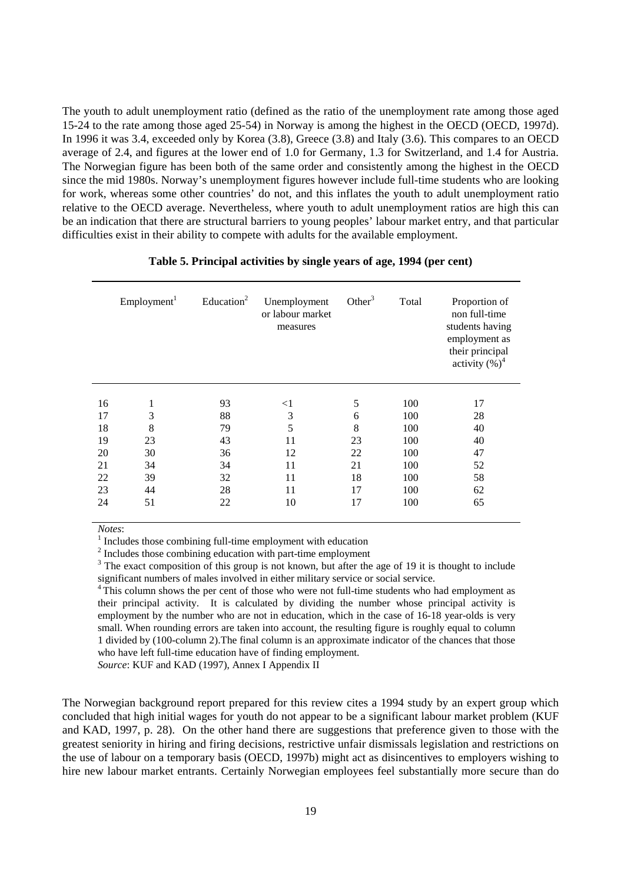The youth to adult unemployment ratio (defined as the ratio of the unemployment rate among those aged 15-24 to the rate among those aged 25-54) in Norway is among the highest in the OECD (OECD, 1997d). In 1996 it was 3.4, exceeded only by Korea (3.8), Greece (3.8) and Italy (3.6). This compares to an OECD average of 2.4, and figures at the lower end of 1.0 for Germany, 1.3 for Switzerland, and 1.4 for Austria. The Norwegian figure has been both of the same order and consistently among the highest in the OECD since the mid 1980s. Norway's unemployment figures however include full-time students who are looking for work, whereas some other countries' do not, and this inflates the youth to adult unemployment ratio relative to the OECD average. Nevertheless, where youth to adult unemployment ratios are high this can be an indication that there are structural barriers to young peoples' labour market entry, and that particular difficulties exist in their ability to compete with adults for the available employment.

|    | Employment <sup>1</sup> | Education <sup>2</sup> | Unemployment<br>or labour market<br>measures | Other <sup>3</sup> | Total | Proportion of<br>non full-time<br>students having<br>employment as<br>their principal<br>activity $(\%)^4$ |
|----|-------------------------|------------------------|----------------------------------------------|--------------------|-------|------------------------------------------------------------------------------------------------------------|
|    |                         | 93                     |                                              | 5                  |       |                                                                                                            |
| 16 | 1                       |                        | $<$ 1                                        |                    | 100   | 17                                                                                                         |
| 17 | 3                       | 88                     | 3                                            | 6                  | 100   | 28                                                                                                         |
| 18 | 8                       | 79                     | 5                                            | 8                  | 100   | 40                                                                                                         |
| 19 | 23                      | 43                     | 11                                           | 23                 | 100   | 40                                                                                                         |
| 20 | 30                      | 36                     | 12                                           | 22                 | 100   | 47                                                                                                         |
| 21 | 34                      | 34                     | 11                                           | 21                 | 100   | 52                                                                                                         |
| 22 | 39                      | 32                     | 11                                           | 18                 | 100   | 58                                                                                                         |
| 23 | 44                      | 28                     | 11                                           | 17                 | 100   | 62                                                                                                         |
| 24 | 51                      | 22                     | 10                                           | 17                 | 100   | 65                                                                                                         |

#### **Table 5. Principal activities by single years of age, 1994 (per cent)**

*Notes*:<br><sup>1</sup> Includes those combining full-time employment with education

<sup>2</sup> Includes those combining education with part-time employment

 $3$  The exact composition of this group is not known, but after the age of 19 it is thought to include significant numbers of males involved in either military service or social service.

<sup>4</sup> This column shows the per cent of those who were not full-time students who had employment as their principal activity. It is calculated by dividing the number whose principal activity is employment by the number who are not in education, which in the case of 16-18 year-olds is very small. When rounding errors are taken into account, the resulting figure is roughly equal to column 1 divided by (100-column 2).The final column is an approximate indicator of the chances that those who have left full-time education have of finding employment.

*Source*: KUF and KAD (1997), Annex I Appendix II

The Norwegian background report prepared for this review cites a 1994 study by an expert group which concluded that high initial wages for youth do not appear to be a significant labour market problem (KUF and KAD, 1997, p. 28). On the other hand there are suggestions that preference given to those with the greatest seniority in hiring and firing decisions, restrictive unfair dismissals legislation and restrictions on the use of labour on a temporary basis (OECD, 1997b) might act as disincentives to employers wishing to hire new labour market entrants. Certainly Norwegian employees feel substantially more secure than do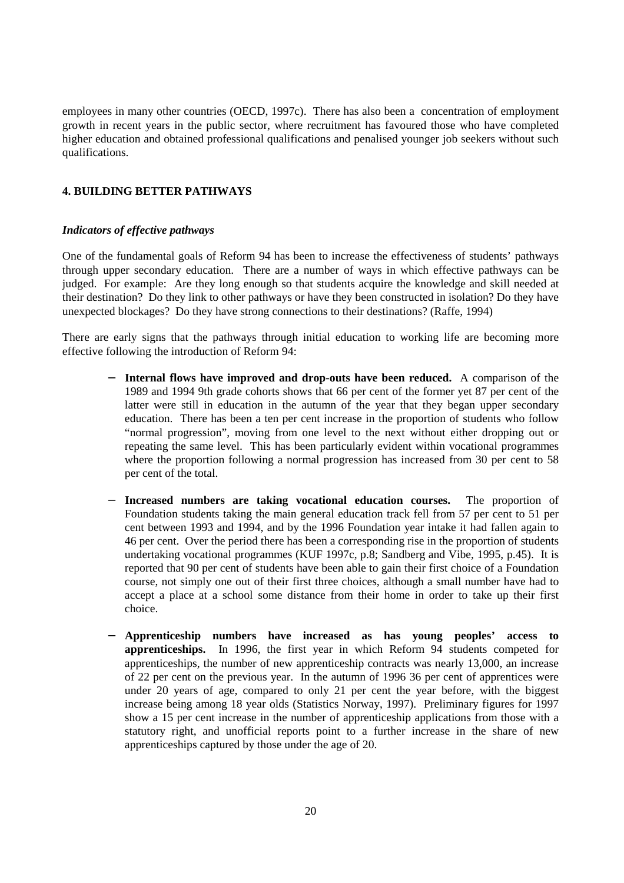employees in many other countries (OECD, 1997c). There has also been a concentration of employment growth in recent years in the public sector, where recruitment has favoured those who have completed higher education and obtained professional qualifications and penalised younger job seekers without such qualifications.

## **4. BUILDING BETTER PATHWAYS**

#### *Indicators of effective pathways*

One of the fundamental goals of Reform 94 has been to increase the effectiveness of students' pathways through upper secondary education. There are a number of ways in which effective pathways can be judged. For example: Are they long enough so that students acquire the knowledge and skill needed at their destination? Do they link to other pathways or have they been constructed in isolation? Do they have unexpected blockages? Do they have strong connections to their destinations? (Raffe, 1994)

There are early signs that the pathways through initial education to working life are becoming more effective following the introduction of Reform 94:

- − **Internal flows have improved and drop-outs have been reduced.** A comparison of the 1989 and 1994 9th grade cohorts shows that 66 per cent of the former yet 87 per cent of the latter were still in education in the autumn of the year that they began upper secondary education. There has been a ten per cent increase in the proportion of students who follow "normal progression", moving from one level to the next without either dropping out or repeating the same level. This has been particularly evident within vocational programmes where the proportion following a normal progression has increased from 30 per cent to 58 per cent of the total.
- **Increased numbers are taking vocational education courses.** The proportion of Foundation students taking the main general education track fell from 57 per cent to 51 per cent between 1993 and 1994, and by the 1996 Foundation year intake it had fallen again to 46 per cent. Over the period there has been a corresponding rise in the proportion of students undertaking vocational programmes (KUF 1997c, p.8; Sandberg and Vibe, 1995, p.45). It is reported that 90 per cent of students have been able to gain their first choice of a Foundation course, not simply one out of their first three choices, although a small number have had to accept a place at a school some distance from their home in order to take up their first choice.
- − **Apprenticeship numbers have increased as has young peoples' access to apprenticeships.** In 1996, the first year in which Reform 94 students competed for apprenticeships, the number of new apprenticeship contracts was nearly 13,000, an increase of 22 per cent on the previous year. In the autumn of 1996 36 per cent of apprentices were under 20 years of age, compared to only 21 per cent the year before, with the biggest increase being among 18 year olds (Statistics Norway, 1997). Preliminary figures for 1997 show a 15 per cent increase in the number of apprenticeship applications from those with a statutory right, and unofficial reports point to a further increase in the share of new apprenticeships captured by those under the age of 20.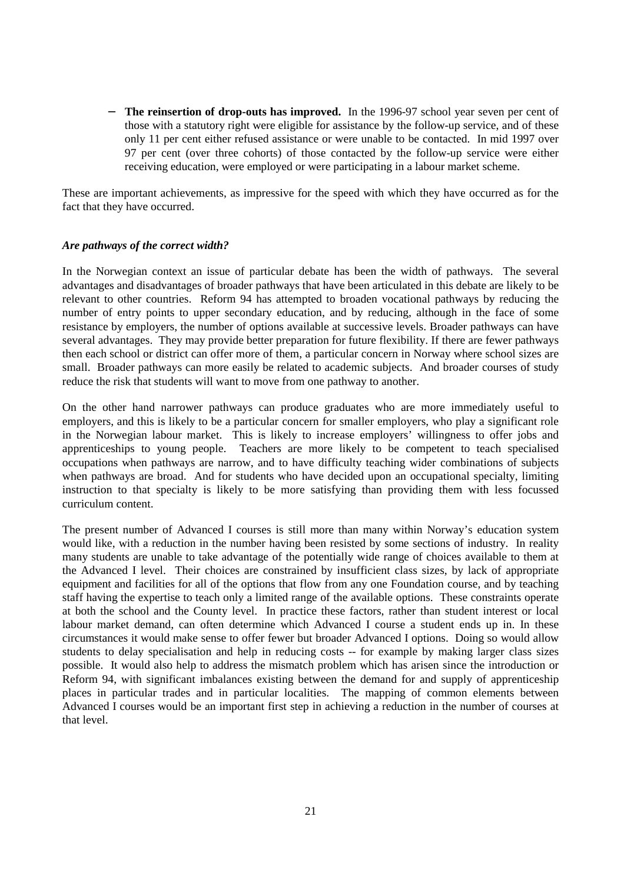**The reinsertion of drop-outs has improved.** In the 1996-97 school year seven per cent of those with a statutory right were eligible for assistance by the follow-up service, and of these only 11 per cent either refused assistance or were unable to be contacted. In mid 1997 over 97 per cent (over three cohorts) of those contacted by the follow-up service were either receiving education, were employed or were participating in a labour market scheme.

These are important achievements, as impressive for the speed with which they have occurred as for the fact that they have occurred.

## *Are pathways of the correct width?*

In the Norwegian context an issue of particular debate has been the width of pathways. The several advantages and disadvantages of broader pathways that have been articulated in this debate are likely to be relevant to other countries. Reform 94 has attempted to broaden vocational pathways by reducing the number of entry points to upper secondary education, and by reducing, although in the face of some resistance by employers, the number of options available at successive levels. Broader pathways can have several advantages. They may provide better preparation for future flexibility. If there are fewer pathways then each school or district can offer more of them, a particular concern in Norway where school sizes are small. Broader pathways can more easily be related to academic subjects. And broader courses of study reduce the risk that students will want to move from one pathway to another.

On the other hand narrower pathways can produce graduates who are more immediately useful to employers, and this is likely to be a particular concern for smaller employers, who play a significant role in the Norwegian labour market. This is likely to increase employers' willingness to offer jobs and apprenticeships to young people. Teachers are more likely to be competent to teach specialised occupations when pathways are narrow, and to have difficulty teaching wider combinations of subjects when pathways are broad. And for students who have decided upon an occupational specialty, limiting instruction to that specialty is likely to be more satisfying than providing them with less focussed curriculum content.

The present number of Advanced I courses is still more than many within Norway's education system would like, with a reduction in the number having been resisted by some sections of industry. In reality many students are unable to take advantage of the potentially wide range of choices available to them at the Advanced I level. Their choices are constrained by insufficient class sizes, by lack of appropriate equipment and facilities for all of the options that flow from any one Foundation course, and by teaching staff having the expertise to teach only a limited range of the available options. These constraints operate at both the school and the County level. In practice these factors, rather than student interest or local labour market demand, can often determine which Advanced I course a student ends up in. In these circumstances it would make sense to offer fewer but broader Advanced I options. Doing so would allow students to delay specialisation and help in reducing costs -- for example by making larger class sizes possible. It would also help to address the mismatch problem which has arisen since the introduction or Reform 94, with significant imbalances existing between the demand for and supply of apprenticeship places in particular trades and in particular localities. The mapping of common elements between Advanced I courses would be an important first step in achieving a reduction in the number of courses at that level.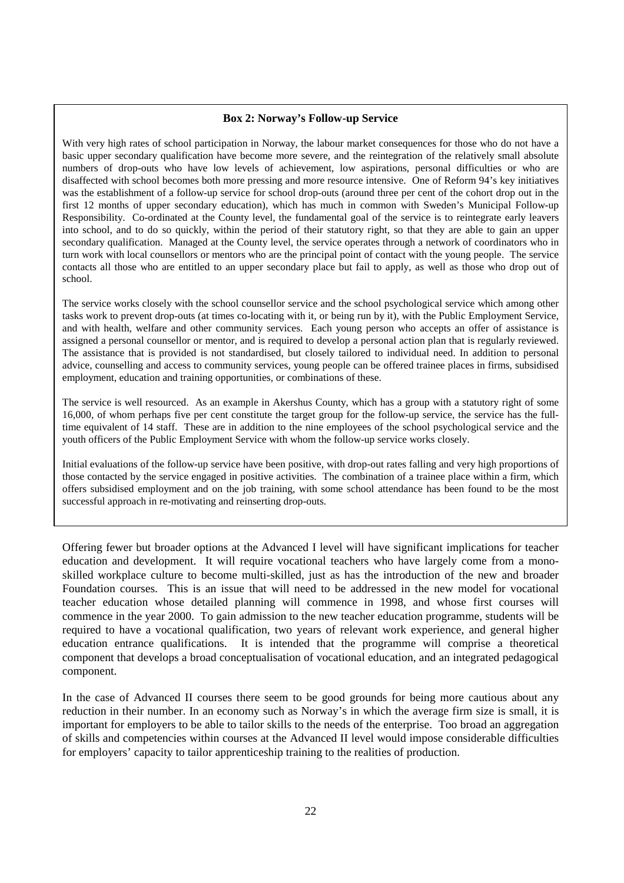#### **Box 2: Norway's Follow-up Service**

With very high rates of school participation in Norway, the labour market consequences for those who do not have a basic upper secondary qualification have become more severe, and the reintegration of the relatively small absolute numbers of drop-outs who have low levels of achievement, low aspirations, personal difficulties or who are disaffected with school becomes both more pressing and more resource intensive. One of Reform 94's key initiatives was the establishment of a follow-up service for school drop-outs (around three per cent of the cohort drop out in the first 12 months of upper secondary education), which has much in common with Sweden's Municipal Follow-up Responsibility. Co-ordinated at the County level, the fundamental goal of the service is to reintegrate early leavers into school, and to do so quickly, within the period of their statutory right, so that they are able to gain an upper secondary qualification. Managed at the County level, the service operates through a network of coordinators who in turn work with local counsellors or mentors who are the principal point of contact with the young people. The service contacts all those who are entitled to an upper secondary place but fail to apply, as well as those who drop out of school.

The service works closely with the school counsellor service and the school psychological service which among other tasks work to prevent drop-outs (at times co-locating with it, or being run by it), with the Public Employment Service, and with health, welfare and other community services. Each young person who accepts an offer of assistance is assigned a personal counsellor or mentor, and is required to develop a personal action plan that is regularly reviewed. The assistance that is provided is not standardised, but closely tailored to individual need. In addition to personal advice, counselling and access to community services, young people can be offered trainee places in firms, subsidised employment, education and training opportunities, or combinations of these.

The service is well resourced. As an example in Akershus County, which has a group with a statutory right of some 16,000, of whom perhaps five per cent constitute the target group for the follow-up service, the service has the fulltime equivalent of 14 staff. These are in addition to the nine employees of the school psychological service and the youth officers of the Public Employment Service with whom the follow-up service works closely.

Initial evaluations of the follow-up service have been positive, with drop-out rates falling and very high proportions of those contacted by the service engaged in positive activities. The combination of a trainee place within a firm, which offers subsidised employment and on the job training, with some school attendance has been found to be the most successful approach in re-motivating and reinserting drop-outs.

Offering fewer but broader options at the Advanced I level will have significant implications for teacher education and development. It will require vocational teachers who have largely come from a monoskilled workplace culture to become multi-skilled, just as has the introduction of the new and broader Foundation courses. This is an issue that will need to be addressed in the new model for vocational teacher education whose detailed planning will commence in 1998, and whose first courses will commence in the year 2000. To gain admission to the new teacher education programme, students will be required to have a vocational qualification, two years of relevant work experience, and general higher education entrance qualifications. It is intended that the programme will comprise a theoretical component that develops a broad conceptualisation of vocational education, and an integrated pedagogical component.

In the case of Advanced II courses there seem to be good grounds for being more cautious about any reduction in their number. In an economy such as Norway's in which the average firm size is small, it is important for employers to be able to tailor skills to the needs of the enterprise. Too broad an aggregation of skills and competencies within courses at the Advanced II level would impose considerable difficulties for employers' capacity to tailor apprenticeship training to the realities of production.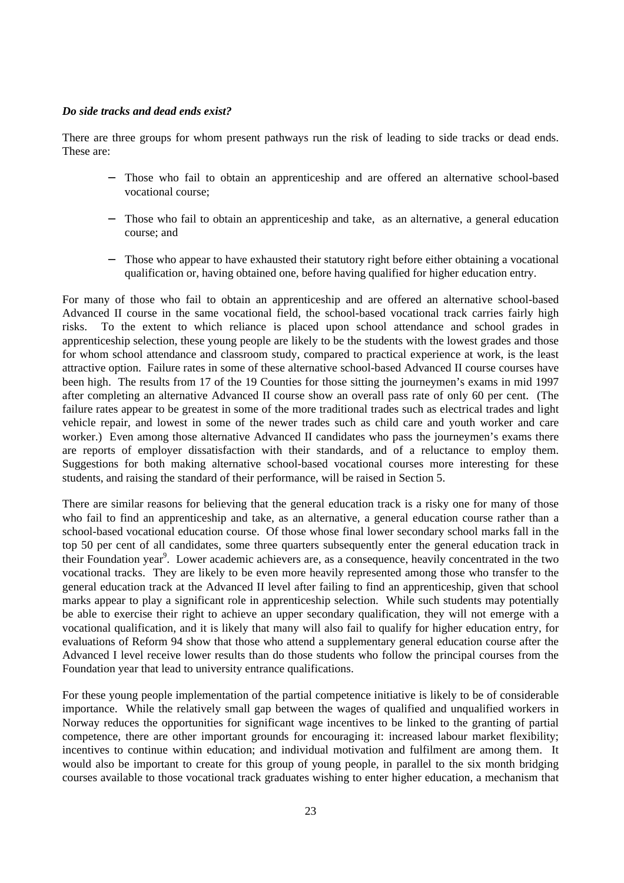## *Do side tracks and dead ends exist?*

There are three groups for whom present pathways run the risk of leading to side tracks or dead ends. These are:

- − Those who fail to obtain an apprenticeship and are offered an alternative school-based vocational course;
- Those who fail to obtain an apprenticeship and take, as an alternative, a general education course; and
- Those who appear to have exhausted their statutory right before either obtaining a vocational qualification or, having obtained one, before having qualified for higher education entry.

For many of those who fail to obtain an apprenticeship and are offered an alternative school-based Advanced II course in the same vocational field, the school-based vocational track carries fairly high risks. To the extent to which reliance is placed upon school attendance and school grades in apprenticeship selection, these young people are likely to be the students with the lowest grades and those for whom school attendance and classroom study, compared to practical experience at work, is the least attractive option. Failure rates in some of these alternative school-based Advanced II course courses have been high. The results from 17 of the 19 Counties for those sitting the journeymen's exams in mid 1997 after completing an alternative Advanced II course show an overall pass rate of only 60 per cent. (The failure rates appear to be greatest in some of the more traditional trades such as electrical trades and light vehicle repair, and lowest in some of the newer trades such as child care and youth worker and care worker.) Even among those alternative Advanced II candidates who pass the journeymen's exams there are reports of employer dissatisfaction with their standards, and of a reluctance to employ them. Suggestions for both making alternative school-based vocational courses more interesting for these students, and raising the standard of their performance, will be raised in Section 5.

There are similar reasons for believing that the general education track is a risky one for many of those who fail to find an apprenticeship and take, as an alternative, a general education course rather than a school-based vocational education course. Of those whose final lower secondary school marks fall in the top 50 per cent of all candidates, some three quarters subsequently enter the general education track in their Foundation year<sup>9</sup>. Lower academic achievers are, as a consequence, heavily concentrated in the two vocational tracks. They are likely to be even more heavily represented among those who transfer to the general education track at the Advanced II level after failing to find an apprenticeship, given that school marks appear to play a significant role in apprenticeship selection. While such students may potentially be able to exercise their right to achieve an upper secondary qualification, they will not emerge with a vocational qualification, and it is likely that many will also fail to qualify for higher education entry, for evaluations of Reform 94 show that those who attend a supplementary general education course after the Advanced I level receive lower results than do those students who follow the principal courses from the Foundation year that lead to university entrance qualifications.

For these young people implementation of the partial competence initiative is likely to be of considerable importance. While the relatively small gap between the wages of qualified and unqualified workers in Norway reduces the opportunities for significant wage incentives to be linked to the granting of partial competence, there are other important grounds for encouraging it: increased labour market flexibility; incentives to continue within education; and individual motivation and fulfilment are among them. It would also be important to create for this group of young people, in parallel to the six month bridging courses available to those vocational track graduates wishing to enter higher education, a mechanism that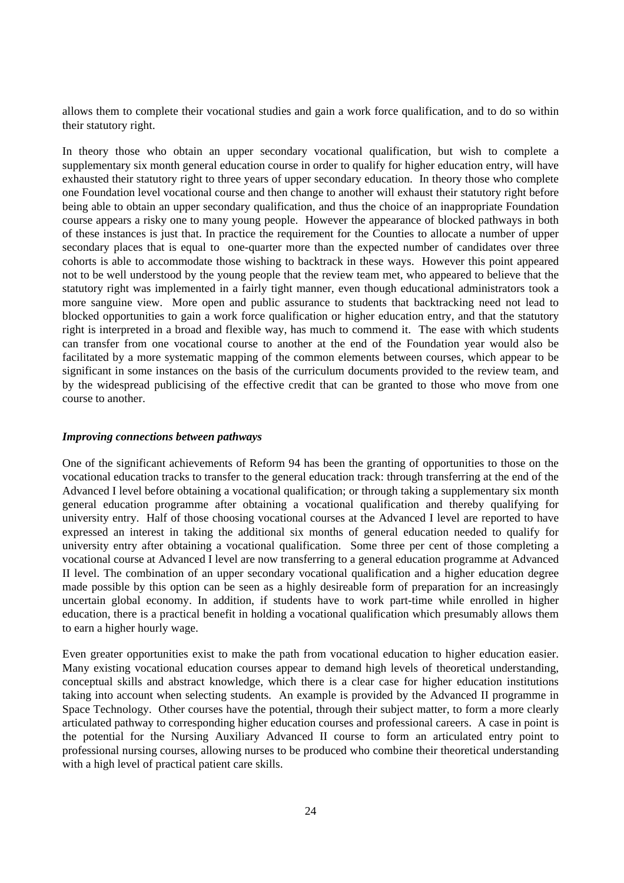allows them to complete their vocational studies and gain a work force qualification, and to do so within their statutory right.

In theory those who obtain an upper secondary vocational qualification, but wish to complete a supplementary six month general education course in order to qualify for higher education entry, will have exhausted their statutory right to three years of upper secondary education. In theory those who complete one Foundation level vocational course and then change to another will exhaust their statutory right before being able to obtain an upper secondary qualification, and thus the choice of an inappropriate Foundation course appears a risky one to many young people. However the appearance of blocked pathways in both of these instances is just that. In practice the requirement for the Counties to allocate a number of upper secondary places that is equal to one-quarter more than the expected number of candidates over three cohorts is able to accommodate those wishing to backtrack in these ways. However this point appeared not to be well understood by the young people that the review team met, who appeared to believe that the statutory right was implemented in a fairly tight manner, even though educational administrators took a more sanguine view. More open and public assurance to students that backtracking need not lead to blocked opportunities to gain a work force qualification or higher education entry, and that the statutory right is interpreted in a broad and flexible way, has much to commend it. The ease with which students can transfer from one vocational course to another at the end of the Foundation year would also be facilitated by a more systematic mapping of the common elements between courses, which appear to be significant in some instances on the basis of the curriculum documents provided to the review team, and by the widespread publicising of the effective credit that can be granted to those who move from one course to another.

#### *Improving connections between pathways*

One of the significant achievements of Reform 94 has been the granting of opportunities to those on the vocational education tracks to transfer to the general education track: through transferring at the end of the Advanced I level before obtaining a vocational qualification; or through taking a supplementary six month general education programme after obtaining a vocational qualification and thereby qualifying for university entry. Half of those choosing vocational courses at the Advanced I level are reported to have expressed an interest in taking the additional six months of general education needed to qualify for university entry after obtaining a vocational qualification. Some three per cent of those completing a vocational course at Advanced I level are now transferring to a general education programme at Advanced II level. The combination of an upper secondary vocational qualification and a higher education degree made possible by this option can be seen as a highly desireable form of preparation for an increasingly uncertain global economy. In addition, if students have to work part-time while enrolled in higher education, there is a practical benefit in holding a vocational qualification which presumably allows them to earn a higher hourly wage.

Even greater opportunities exist to make the path from vocational education to higher education easier. Many existing vocational education courses appear to demand high levels of theoretical understanding, conceptual skills and abstract knowledge, which there is a clear case for higher education institutions taking into account when selecting students. An example is provided by the Advanced II programme in Space Technology. Other courses have the potential, through their subject matter, to form a more clearly articulated pathway to corresponding higher education courses and professional careers. A case in point is the potential for the Nursing Auxiliary Advanced II course to form an articulated entry point to professional nursing courses, allowing nurses to be produced who combine their theoretical understanding with a high level of practical patient care skills.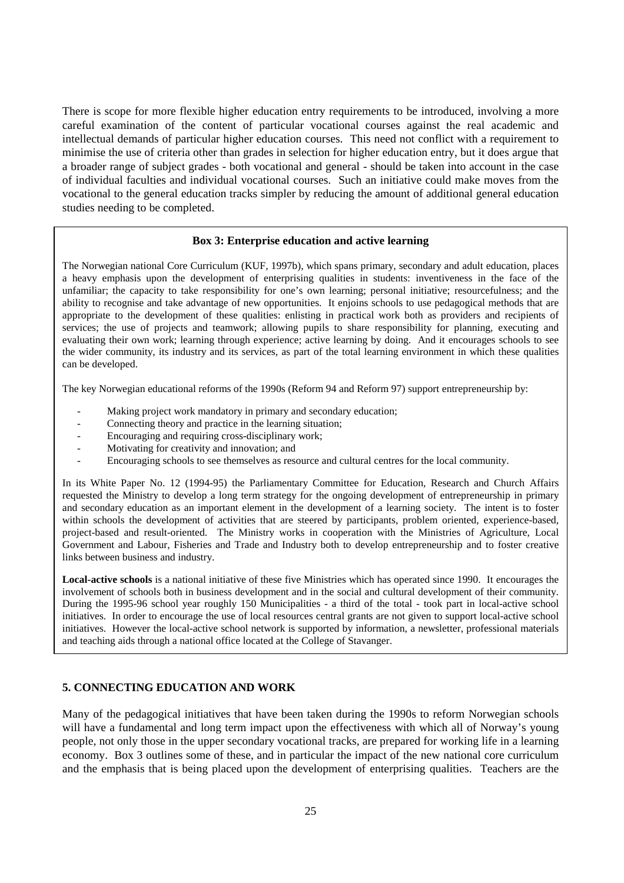There is scope for more flexible higher education entry requirements to be introduced, involving a more careful examination of the content of particular vocational courses against the real academic and intellectual demands of particular higher education courses. This need not conflict with a requirement to minimise the use of criteria other than grades in selection for higher education entry, but it does argue that a broader range of subject grades - both vocational and general - should be taken into account in the case of individual faculties and individual vocational courses. Such an initiative could make moves from the vocational to the general education tracks simpler by reducing the amount of additional general education studies needing to be completed.

#### **Box 3: Enterprise education and active learning**

The Norwegian national Core Curriculum (KUF, 1997b), which spans primary, secondary and adult education, places a heavy emphasis upon the development of enterprising qualities in students: inventiveness in the face of the unfamiliar; the capacity to take responsibility for one's own learning; personal initiative; resourcefulness; and the ability to recognise and take advantage of new opportunities. It enjoins schools to use pedagogical methods that are appropriate to the development of these qualities: enlisting in practical work both as providers and recipients of services; the use of projects and teamwork; allowing pupils to share responsibility for planning, executing and evaluating their own work; learning through experience; active learning by doing. And it encourages schools to see the wider community, its industry and its services, as part of the total learning environment in which these qualities can be developed.

The key Norwegian educational reforms of the 1990s (Reform 94 and Reform 97) support entrepreneurship by:

- Making project work mandatory in primary and secondary education;
- Connecting theory and practice in the learning situation;
- Encouraging and requiring cross-disciplinary work;
- Motivating for creativity and innovation; and
- Encouraging schools to see themselves as resource and cultural centres for the local community.

In its White Paper No. 12 (1994-95) the Parliamentary Committee for Education, Research and Church Affairs requested the Ministry to develop a long term strategy for the ongoing development of entrepreneurship in primary and secondary education as an important element in the development of a learning society. The intent is to foster within schools the development of activities that are steered by participants, problem oriented, experience-based, project-based and result-oriented. The Ministry works in cooperation with the Ministries of Agriculture, Local Government and Labour, Fisheries and Trade and Industry both to develop entrepreneurship and to foster creative links between business and industry.

**Local-active schools** is a national initiative of these five Ministries which has operated since 1990. It encourages the involvement of schools both in business development and in the social and cultural development of their community. During the 1995-96 school year roughly 150 Municipalities - a third of the total - took part in local-active school initiatives. In order to encourage the use of local resources central grants are not given to support local-active school initiatives. However the local-active school network is supported by information, a newsletter, professional materials and teaching aids through a national office located at the College of Stavanger.

## **5. CONNECTING EDUCATION AND WORK**

Many of the pedagogical initiatives that have been taken during the 1990s to reform Norwegian schools will have a fundamental and long term impact upon the effectiveness with which all of Norway's young people, not only those in the upper secondary vocational tracks, are prepared for working life in a learning economy. Box 3 outlines some of these, and in particular the impact of the new national core curriculum and the emphasis that is being placed upon the development of enterprising qualities. Teachers are the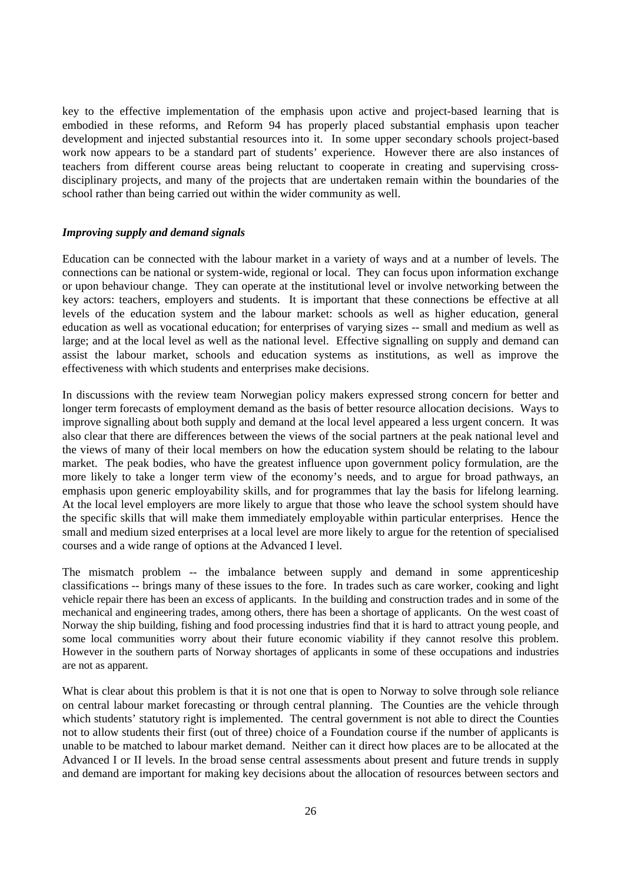key to the effective implementation of the emphasis upon active and project-based learning that is embodied in these reforms, and Reform 94 has properly placed substantial emphasis upon teacher development and injected substantial resources into it. In some upper secondary schools project-based work now appears to be a standard part of students' experience. However there are also instances of teachers from different course areas being reluctant to cooperate in creating and supervising crossdisciplinary projects, and many of the projects that are undertaken remain within the boundaries of the school rather than being carried out within the wider community as well.

#### *Improving supply and demand signals*

Education can be connected with the labour market in a variety of ways and at a number of levels. The connections can be national or system-wide, regional or local. They can focus upon information exchange or upon behaviour change. They can operate at the institutional level or involve networking between the key actors: teachers, employers and students. It is important that these connections be effective at all levels of the education system and the labour market: schools as well as higher education, general education as well as vocational education; for enterprises of varying sizes -- small and medium as well as large; and at the local level as well as the national level. Effective signalling on supply and demand can assist the labour market, schools and education systems as institutions, as well as improve the effectiveness with which students and enterprises make decisions.

In discussions with the review team Norwegian policy makers expressed strong concern for better and longer term forecasts of employment demand as the basis of better resource allocation decisions. Ways to improve signalling about both supply and demand at the local level appeared a less urgent concern. It was also clear that there are differences between the views of the social partners at the peak national level and the views of many of their local members on how the education system should be relating to the labour market. The peak bodies, who have the greatest influence upon government policy formulation, are the more likely to take a longer term view of the economy's needs, and to argue for broad pathways, an emphasis upon generic employability skills, and for programmes that lay the basis for lifelong learning. At the local level employers are more likely to argue that those who leave the school system should have the specific skills that will make them immediately employable within particular enterprises. Hence the small and medium sized enterprises at a local level are more likely to argue for the retention of specialised courses and a wide range of options at the Advanced I level.

The mismatch problem -- the imbalance between supply and demand in some apprenticeship classifications -- brings many of these issues to the fore. In trades such as care worker, cooking and light vehicle repair there has been an excess of applicants. In the building and construction trades and in some of the mechanical and engineering trades, among others, there has been a shortage of applicants. On the west coast of Norway the ship building, fishing and food processing industries find that it is hard to attract young people, and some local communities worry about their future economic viability if they cannot resolve this problem. However in the southern parts of Norway shortages of applicants in some of these occupations and industries are not as apparent.

What is clear about this problem is that it is not one that is open to Norway to solve through sole reliance on central labour market forecasting or through central planning. The Counties are the vehicle through which students' statutory right is implemented. The central government is not able to direct the Counties not to allow students their first (out of three) choice of a Foundation course if the number of applicants is unable to be matched to labour market demand. Neither can it direct how places are to be allocated at the Advanced I or II levels. In the broad sense central assessments about present and future trends in supply and demand are important for making key decisions about the allocation of resources between sectors and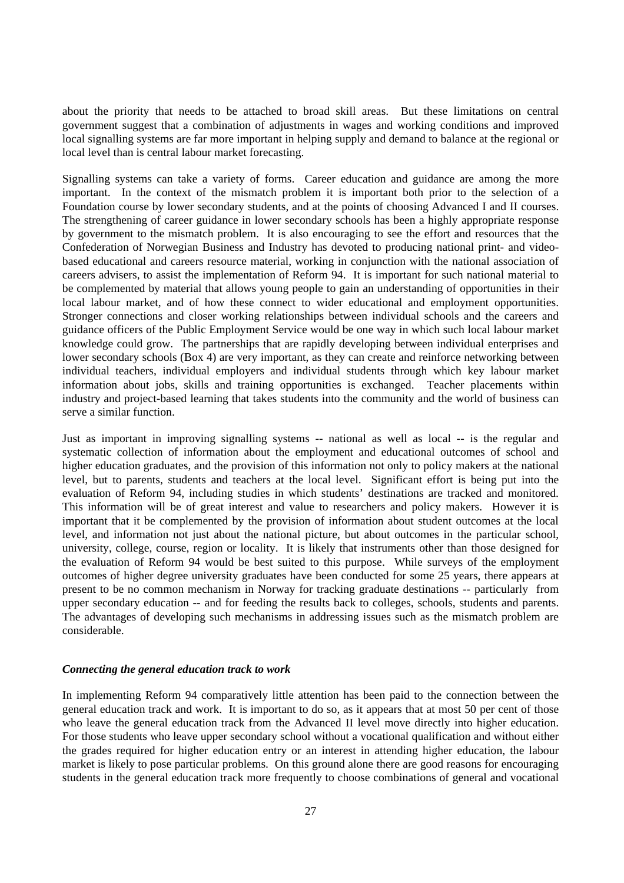about the priority that needs to be attached to broad skill areas. But these limitations on central government suggest that a combination of adjustments in wages and working conditions and improved local signalling systems are far more important in helping supply and demand to balance at the regional or local level than is central labour market forecasting.

Signalling systems can take a variety of forms. Career education and guidance are among the more important. In the context of the mismatch problem it is important both prior to the selection of a Foundation course by lower secondary students, and at the points of choosing Advanced I and II courses. The strengthening of career guidance in lower secondary schools has been a highly appropriate response by government to the mismatch problem. It is also encouraging to see the effort and resources that the Confederation of Norwegian Business and Industry has devoted to producing national print- and videobased educational and careers resource material, working in conjunction with the national association of careers advisers, to assist the implementation of Reform 94. It is important for such national material to be complemented by material that allows young people to gain an understanding of opportunities in their local labour market, and of how these connect to wider educational and employment opportunities. Stronger connections and closer working relationships between individual schools and the careers and guidance officers of the Public Employment Service would be one way in which such local labour market knowledge could grow. The partnerships that are rapidly developing between individual enterprises and lower secondary schools (Box 4) are very important, as they can create and reinforce networking between individual teachers, individual employers and individual students through which key labour market information about jobs, skills and training opportunities is exchanged. Teacher placements within industry and project-based learning that takes students into the community and the world of business can serve a similar function.

Just as important in improving signalling systems -- national as well as local -- is the regular and systematic collection of information about the employment and educational outcomes of school and higher education graduates, and the provision of this information not only to policy makers at the national level, but to parents, students and teachers at the local level. Significant effort is being put into the evaluation of Reform 94, including studies in which students' destinations are tracked and monitored. This information will be of great interest and value to researchers and policy makers. However it is important that it be complemented by the provision of information about student outcomes at the local level, and information not just about the national picture, but about outcomes in the particular school, university, college, course, region or locality. It is likely that instruments other than those designed for the evaluation of Reform 94 would be best suited to this purpose. While surveys of the employment outcomes of higher degree university graduates have been conducted for some 25 years, there appears at present to be no common mechanism in Norway for tracking graduate destinations -- particularly from upper secondary education -- and for feeding the results back to colleges, schools, students and parents. The advantages of developing such mechanisms in addressing issues such as the mismatch problem are considerable.

#### *Connecting the general education track to work*

In implementing Reform 94 comparatively little attention has been paid to the connection between the general education track and work. It is important to do so, as it appears that at most 50 per cent of those who leave the general education track from the Advanced II level move directly into higher education. For those students who leave upper secondary school without a vocational qualification and without either the grades required for higher education entry or an interest in attending higher education, the labour market is likely to pose particular problems. On this ground alone there are good reasons for encouraging students in the general education track more frequently to choose combinations of general and vocational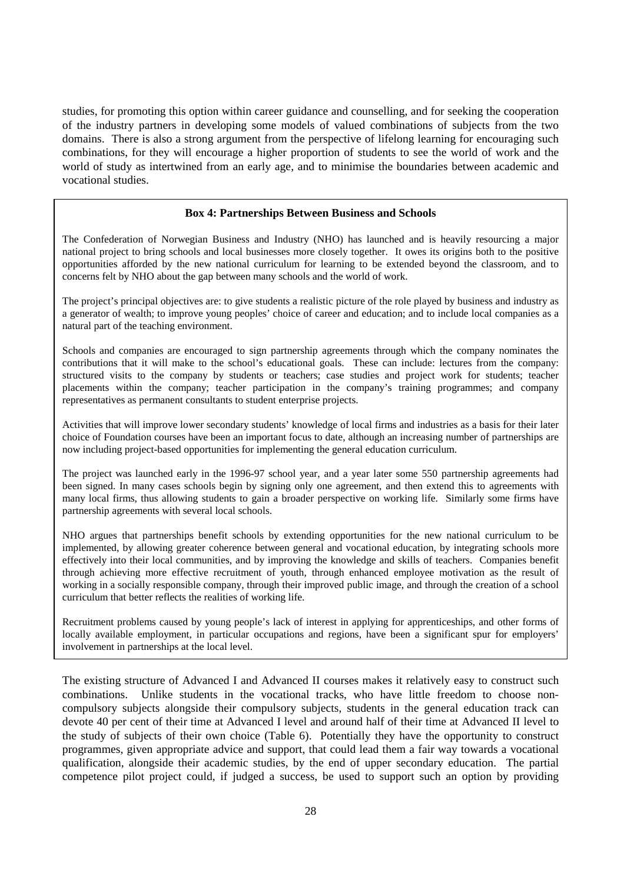studies, for promoting this option within career guidance and counselling, and for seeking the cooperation of the industry partners in developing some models of valued combinations of subjects from the two domains. There is also a strong argument from the perspective of lifelong learning for encouraging such combinations, for they will encourage a higher proportion of students to see the world of work and the world of study as intertwined from an early age, and to minimise the boundaries between academic and vocational studies.

## **Box 4: Partnerships Between Business and Schools**

The Confederation of Norwegian Business and Industry (NHO) has launched and is heavily resourcing a major national project to bring schools and local businesses more closely together. It owes its origins both to the positive opportunities afforded by the new national curriculum for learning to be extended beyond the classroom, and to concerns felt by NHO about the gap between many schools and the world of work.

The project's principal objectives are: to give students a realistic picture of the role played by business and industry as a generator of wealth; to improve young peoples' choice of career and education; and to include local companies as a natural part of the teaching environment.

Schools and companies are encouraged to sign partnership agreements through which the company nominates the contributions that it will make to the school's educational goals. These can include: lectures from the company: structured visits to the company by students or teachers; case studies and project work for students; teacher placements within the company; teacher participation in the company's training programmes; and company representatives as permanent consultants to student enterprise projects.

Activities that will improve lower secondary students' knowledge of local firms and industries as a basis for their later choice of Foundation courses have been an important focus to date, although an increasing number of partnerships are now including project-based opportunities for implementing the general education curriculum.

The project was launched early in the 1996-97 school year, and a year later some 550 partnership agreements had been signed. In many cases schools begin by signing only one agreement, and then extend this to agreements with many local firms, thus allowing students to gain a broader perspective on working life. Similarly some firms have partnership agreements with several local schools.

NHO argues that partnerships benefit schools by extending opportunities for the new national curriculum to be implemented, by allowing greater coherence between general and vocational education, by integrating schools more effectively into their local communities, and by improving the knowledge and skills of teachers. Companies benefit through achieving more effective recruitment of youth, through enhanced employee motivation as the result of working in a socially responsible company, through their improved public image, and through the creation of a school curriculum that better reflects the realities of working life.

Recruitment problems caused by young people's lack of interest in applying for apprenticeships, and other forms of locally available employment, in particular occupations and regions, have been a significant spur for employers' involvement in partnerships at the local level.

The existing structure of Advanced I and Advanced II courses makes it relatively easy to construct such combinations. Unlike students in the vocational tracks, who have little freedom to choose noncompulsory subjects alongside their compulsory subjects, students in the general education track can devote 40 per cent of their time at Advanced I level and around half of their time at Advanced II level to the study of subjects of their own choice (Table 6). Potentially they have the opportunity to construct programmes, given appropriate advice and support, that could lead them a fair way towards a vocational qualification, alongside their academic studies, by the end of upper secondary education. The partial competence pilot project could, if judged a success, be used to support such an option by providing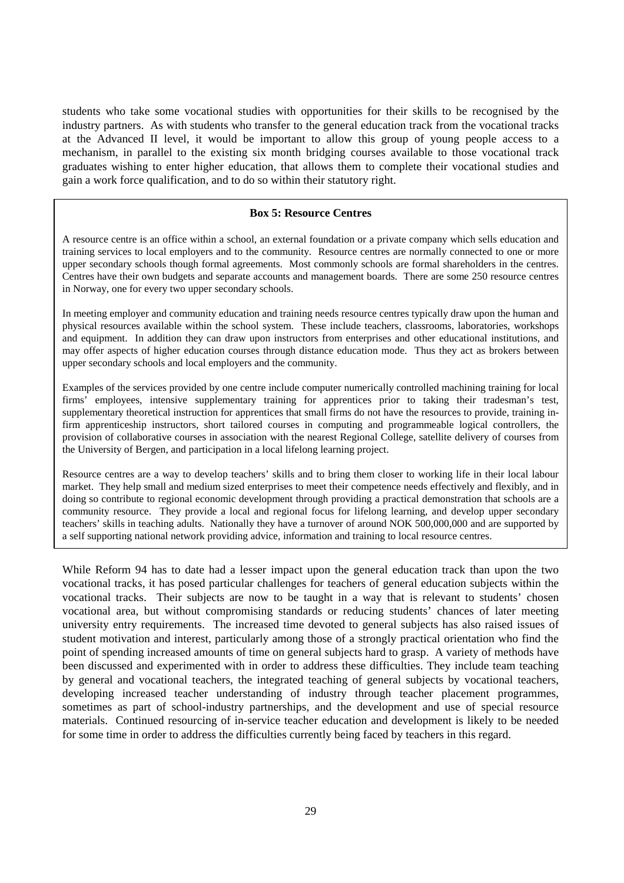students who take some vocational studies with opportunities for their skills to be recognised by the industry partners. As with students who transfer to the general education track from the vocational tracks at the Advanced II level, it would be important to allow this group of young people access to a mechanism, in parallel to the existing six month bridging courses available to those vocational track graduates wishing to enter higher education, that allows them to complete their vocational studies and gain a work force qualification, and to do so within their statutory right.

## **Box 5: Resource Centres**

A resource centre is an office within a school, an external foundation or a private company which sells education and training services to local employers and to the community. Resource centres are normally connected to one or more upper secondary schools though formal agreements. Most commonly schools are formal shareholders in the centres. Centres have their own budgets and separate accounts and management boards. There are some 250 resource centres in Norway, one for every two upper secondary schools.

In meeting employer and community education and training needs resource centres typically draw upon the human and physical resources available within the school system. These include teachers, classrooms, laboratories, workshops and equipment. In addition they can draw upon instructors from enterprises and other educational institutions, and may offer aspects of higher education courses through distance education mode. Thus they act as brokers between upper secondary schools and local employers and the community.

Examples of the services provided by one centre include computer numerically controlled machining training for local firms' employees, intensive supplementary training for apprentices prior to taking their tradesman's test, supplementary theoretical instruction for apprentices that small firms do not have the resources to provide, training infirm apprenticeship instructors, short tailored courses in computing and programmeable logical controllers, the provision of collaborative courses in association with the nearest Regional College, satellite delivery of courses from the University of Bergen, and participation in a local lifelong learning project.

Resource centres are a way to develop teachers' skills and to bring them closer to working life in their local labour market. They help small and medium sized enterprises to meet their competence needs effectively and flexibly, and in doing so contribute to regional economic development through providing a practical demonstration that schools are a community resource. They provide a local and regional focus for lifelong learning, and develop upper secondary teachers' skills in teaching adults. Nationally they have a turnover of around NOK 500,000,000 and are supported by a self supporting national network providing advice, information and training to local resource centres.

While Reform 94 has to date had a lesser impact upon the general education track than upon the two vocational tracks, it has posed particular challenges for teachers of general education subjects within the vocational tracks. Their subjects are now to be taught in a way that is relevant to students' chosen vocational area, but without compromising standards or reducing students' chances of later meeting university entry requirements. The increased time devoted to general subjects has also raised issues of student motivation and interest, particularly among those of a strongly practical orientation who find the point of spending increased amounts of time on general subjects hard to grasp. A variety of methods have been discussed and experimented with in order to address these difficulties. They include team teaching by general and vocational teachers, the integrated teaching of general subjects by vocational teachers, developing increased teacher understanding of industry through teacher placement programmes, sometimes as part of school-industry partnerships, and the development and use of special resource materials. Continued resourcing of in-service teacher education and development is likely to be needed for some time in order to address the difficulties currently being faced by teachers in this regard.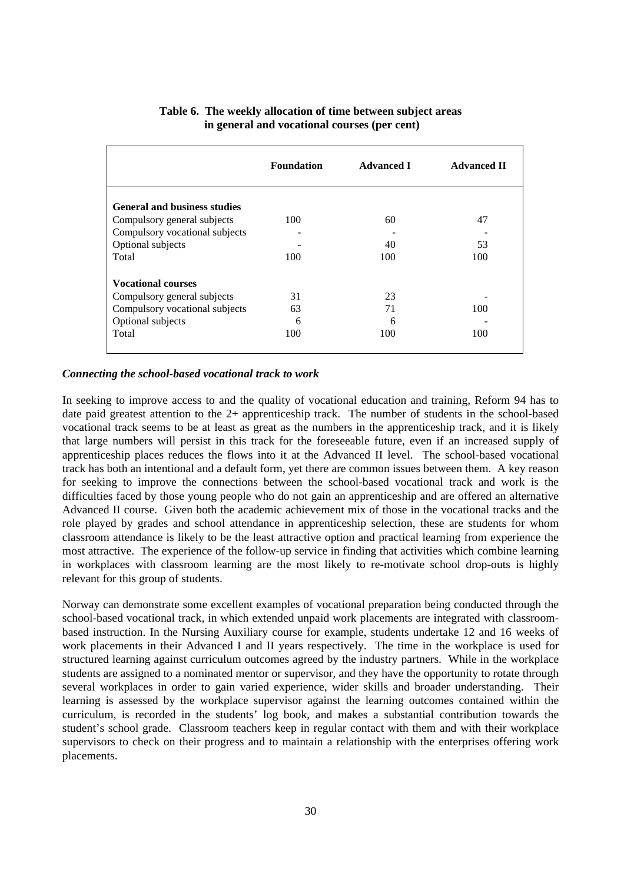|                                     | <b>Foundation</b> | <b>Advanced I</b> | <b>Advanced II</b> |
|-------------------------------------|-------------------|-------------------|--------------------|
| <b>General and business studies</b> |                   |                   |                    |
| Compulsory general subjects         | 100               | 60                | 47                 |
| Compulsory vocational subjects      |                   |                   |                    |
| Optional subjects                   |                   | 40                | 53                 |
| Total                               | 100               | 100               | 100                |
| <b>Vocational courses</b>           |                   |                   |                    |
| Compulsory general subjects         | 31                | 23                |                    |
| Compulsory vocational subjects      | 63                | 71                | 100                |
| Optional subjects                   | 6                 | 6                 |                    |
| Total                               | 100               | 100               | 100                |

## **Table 6. The weekly allocation of time between subject areas in general and vocational courses (per cent)**

## *Connecting the school-based vocational track to work*

In seeking to improve access to and the quality of vocational education and training, Reform 94 has to date paid greatest attention to the 2+ apprenticeship track. The number of students in the school-based vocational track seems to be at least as great as the numbers in the apprenticeship track, and it is likely that large numbers will persist in this track for the foreseeable future, even if an increased supply of apprenticeship places reduces the flows into it at the Advanced II level. The school-based vocational track has both an intentional and a default form, yet there are common issues between them. A key reason for seeking to improve the connections between the school-based vocational track and work is the difficulties faced by those young people who do not gain an apprenticeship and are offered an alternative Advanced II course. Given both the academic achievement mix of those in the vocational tracks and the role played by grades and school attendance in apprenticeship selection, these are students for whom classroom attendance is likely to be the least attractive option and practical learning from experience the most attractive. The experience of the follow-up service in finding that activities which combine learning in workplaces with classroom learning are the most likely to re-motivate school drop-outs is highly relevant for this group of students.

Norway can demonstrate some excellent examples of vocational preparation being conducted through the school-based vocational track, in which extended unpaid work placements are integrated with classroombased instruction. In the Nursing Auxiliary course for example, students undertake 12 and 16 weeks of work placements in their Advanced I and II years respectively. The time in the workplace is used for structured learning against curriculum outcomes agreed by the industry partners. While in the workplace students are assigned to a nominated mentor or supervisor, and they have the opportunity to rotate through several workplaces in order to gain varied experience, wider skills and broader understanding. Their learning is assessed by the workplace supervisor against the learning outcomes contained within the curriculum, is recorded in the students' log book, and makes a substantial contribution towards the student's school grade. Classroom teachers keep in regular contact with them and with their workplace supervisors to check on their progress and to maintain a relationship with the enterprises offering work placements.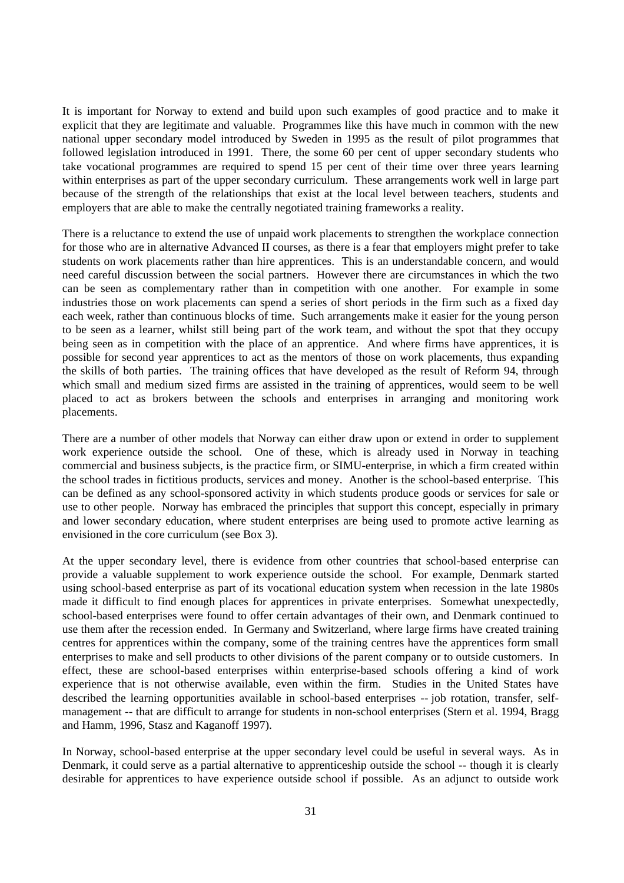It is important for Norway to extend and build upon such examples of good practice and to make it explicit that they are legitimate and valuable. Programmes like this have much in common with the new national upper secondary model introduced by Sweden in 1995 as the result of pilot programmes that followed legislation introduced in 1991. There, the some 60 per cent of upper secondary students who take vocational programmes are required to spend 15 per cent of their time over three years learning within enterprises as part of the upper secondary curriculum. These arrangements work well in large part because of the strength of the relationships that exist at the local level between teachers, students and employers that are able to make the centrally negotiated training frameworks a reality.

There is a reluctance to extend the use of unpaid work placements to strengthen the workplace connection for those who are in alternative Advanced II courses, as there is a fear that employers might prefer to take students on work placements rather than hire apprentices. This is an understandable concern, and would need careful discussion between the social partners. However there are circumstances in which the two can be seen as complementary rather than in competition with one another. For example in some industries those on work placements can spend a series of short periods in the firm such as a fixed day each week, rather than continuous blocks of time. Such arrangements make it easier for the young person to be seen as a learner, whilst still being part of the work team, and without the spot that they occupy being seen as in competition with the place of an apprentice. And where firms have apprentices, it is possible for second year apprentices to act as the mentors of those on work placements, thus expanding the skills of both parties. The training offices that have developed as the result of Reform 94, through which small and medium sized firms are assisted in the training of apprentices, would seem to be well placed to act as brokers between the schools and enterprises in arranging and monitoring work placements.

There are a number of other models that Norway can either draw upon or extend in order to supplement work experience outside the school. One of these, which is already used in Norway in teaching commercial and business subjects, is the practice firm, or SIMU-enterprise, in which a firm created within the school trades in fictitious products, services and money. Another is the school-based enterprise. This can be defined as any school-sponsored activity in which students produce goods or services for sale or use to other people. Norway has embraced the principles that support this concept, especially in primary and lower secondary education, where student enterprises are being used to promote active learning as envisioned in the core curriculum (see Box 3).

At the upper secondary level, there is evidence from other countries that school-based enterprise can provide a valuable supplement to work experience outside the school. For example, Denmark started using school-based enterprise as part of its vocational education system when recession in the late 1980s made it difficult to find enough places for apprentices in private enterprises. Somewhat unexpectedly, school-based enterprises were found to offer certain advantages of their own, and Denmark continued to use them after the recession ended. In Germany and Switzerland, where large firms have created training centres for apprentices within the company, some of the training centres have the apprentices form small enterprises to make and sell products to other divisions of the parent company or to outside customers. In effect, these are school-based enterprises within enterprise-based schools offering a kind of work experience that is not otherwise available, even within the firm. Studies in the United States have described the learning opportunities available in school-based enterprises -- job rotation, transfer, selfmanagement -- that are difficult to arrange for students in non-school enterprises (Stern et al. 1994, Bragg and Hamm, 1996, Stasz and Kaganoff 1997).

In Norway, school-based enterprise at the upper secondary level could be useful in several ways. As in Denmark, it could serve as a partial alternative to apprenticeship outside the school -- though it is clearly desirable for apprentices to have experience outside school if possible. As an adjunct to outside work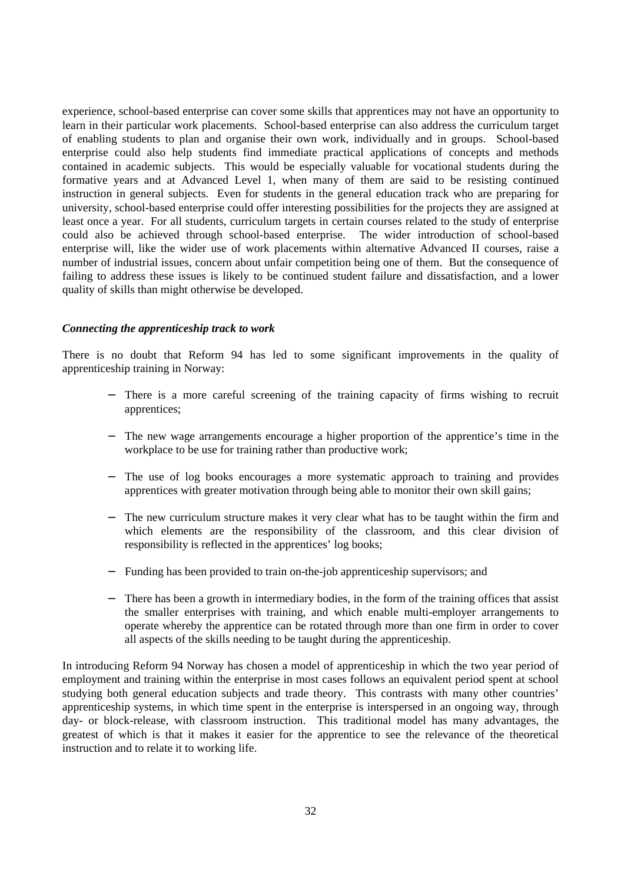experience, school-based enterprise can cover some skills that apprentices may not have an opportunity to learn in their particular work placements. School-based enterprise can also address the curriculum target of enabling students to plan and organise their own work, individually and in groups. School-based enterprise could also help students find immediate practical applications of concepts and methods contained in academic subjects. This would be especially valuable for vocational students during the formative years and at Advanced Level 1, when many of them are said to be resisting continued instruction in general subjects. Even for students in the general education track who are preparing for university, school-based enterprise could offer interesting possibilities for the projects they are assigned at least once a year. For all students, curriculum targets in certain courses related to the study of enterprise could also be achieved through school-based enterprise. The wider introduction of school-based enterprise will, like the wider use of work placements within alternative Advanced II courses, raise a number of industrial issues, concern about unfair competition being one of them. But the consequence of failing to address these issues is likely to be continued student failure and dissatisfaction, and a lower quality of skills than might otherwise be developed.

#### *Connecting the apprenticeship track to work*

There is no doubt that Reform 94 has led to some significant improvements in the quality of apprenticeship training in Norway:

- − There is a more careful screening of the training capacity of firms wishing to recruit apprentices;
- − The new wage arrangements encourage a higher proportion of the apprentice's time in the workplace to be use for training rather than productive work;
- − The use of log books encourages a more systematic approach to training and provides apprentices with greater motivation through being able to monitor their own skill gains;
- The new curriculum structure makes it very clear what has to be taught within the firm and which elements are the responsibility of the classroom, and this clear division of responsibility is reflected in the apprentices' log books;
- − Funding has been provided to train on-the-job apprenticeship supervisors; and
- There has been a growth in intermediary bodies, in the form of the training offices that assist the smaller enterprises with training, and which enable multi-employer arrangements to operate whereby the apprentice can be rotated through more than one firm in order to cover all aspects of the skills needing to be taught during the apprenticeship.

In introducing Reform 94 Norway has chosen a model of apprenticeship in which the two year period of employment and training within the enterprise in most cases follows an equivalent period spent at school studying both general education subjects and trade theory. This contrasts with many other countries' apprenticeship systems, in which time spent in the enterprise is interspersed in an ongoing way, through day- or block-release, with classroom instruction. This traditional model has many advantages, the greatest of which is that it makes it easier for the apprentice to see the relevance of the theoretical instruction and to relate it to working life.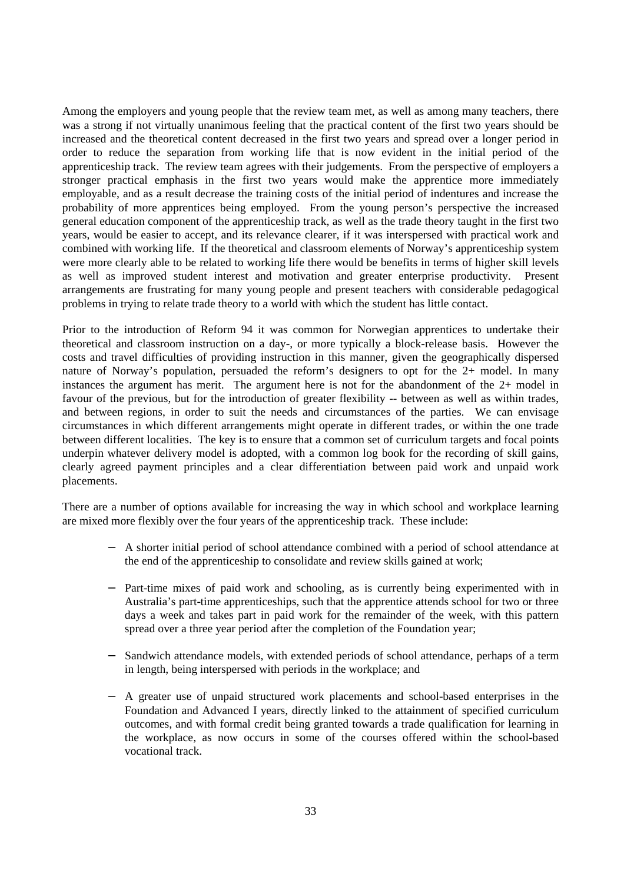Among the employers and young people that the review team met, as well as among many teachers, there was a strong if not virtually unanimous feeling that the practical content of the first two years should be increased and the theoretical content decreased in the first two years and spread over a longer period in order to reduce the separation from working life that is now evident in the initial period of the apprenticeship track. The review team agrees with their judgements. From the perspective of employers a stronger practical emphasis in the first two years would make the apprentice more immediately employable, and as a result decrease the training costs of the initial period of indentures and increase the probability of more apprentices being employed. From the young person's perspective the increased general education component of the apprenticeship track, as well as the trade theory taught in the first two years, would be easier to accept, and its relevance clearer, if it was interspersed with practical work and combined with working life. If the theoretical and classroom elements of Norway's apprenticeship system were more clearly able to be related to working life there would be benefits in terms of higher skill levels as well as improved student interest and motivation and greater enterprise productivity. Present arrangements are frustrating for many young people and present teachers with considerable pedagogical problems in trying to relate trade theory to a world with which the student has little contact.

Prior to the introduction of Reform 94 it was common for Norwegian apprentices to undertake their theoretical and classroom instruction on a day-, or more typically a block-release basis. However the costs and travel difficulties of providing instruction in this manner, given the geographically dispersed nature of Norway's population, persuaded the reform's designers to opt for the 2+ model. In many instances the argument has merit. The argument here is not for the abandonment of the 2+ model in favour of the previous, but for the introduction of greater flexibility -- between as well as within trades, and between regions, in order to suit the needs and circumstances of the parties. We can envisage circumstances in which different arrangements might operate in different trades, or within the one trade between different localities. The key is to ensure that a common set of curriculum targets and focal points underpin whatever delivery model is adopted, with a common log book for the recording of skill gains, clearly agreed payment principles and a clear differentiation between paid work and unpaid work placements.

There are a number of options available for increasing the way in which school and workplace learning are mixed more flexibly over the four years of the apprenticeship track. These include:

- − A shorter initial period of school attendance combined with a period of school attendance at the end of the apprenticeship to consolidate and review skills gained at work;
- Part-time mixes of paid work and schooling, as is currently being experimented with in Australia's part-time apprenticeships, such that the apprentice attends school for two or three days a week and takes part in paid work for the remainder of the week, with this pattern spread over a three year period after the completion of the Foundation year;
- Sandwich attendance models, with extended periods of school attendance, perhaps of a term in length, being interspersed with periods in the workplace; and
- − A greater use of unpaid structured work placements and school-based enterprises in the Foundation and Advanced I years, directly linked to the attainment of specified curriculum outcomes, and with formal credit being granted towards a trade qualification for learning in the workplace, as now occurs in some of the courses offered within the school-based vocational track.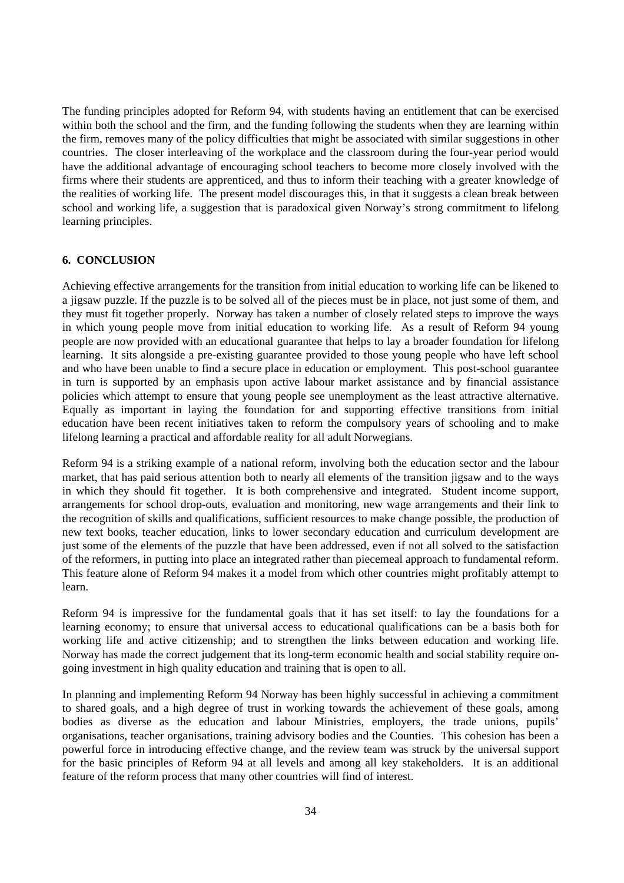The funding principles adopted for Reform 94, with students having an entitlement that can be exercised within both the school and the firm, and the funding following the students when they are learning within the firm, removes many of the policy difficulties that might be associated with similar suggestions in other countries. The closer interleaving of the workplace and the classroom during the four-year period would have the additional advantage of encouraging school teachers to become more closely involved with the firms where their students are apprenticed, and thus to inform their teaching with a greater knowledge of the realities of working life. The present model discourages this, in that it suggests a clean break between school and working life, a suggestion that is paradoxical given Norway's strong commitment to lifelong learning principles.

## **6. CONCLUSION**

Achieving effective arrangements for the transition from initial education to working life can be likened to a jigsaw puzzle. If the puzzle is to be solved all of the pieces must be in place, not just some of them, and they must fit together properly. Norway has taken a number of closely related steps to improve the ways in which young people move from initial education to working life. As a result of Reform 94 young people are now provided with an educational guarantee that helps to lay a broader foundation for lifelong learning. It sits alongside a pre-existing guarantee provided to those young people who have left school and who have been unable to find a secure place in education or employment. This post-school guarantee in turn is supported by an emphasis upon active labour market assistance and by financial assistance policies which attempt to ensure that young people see unemployment as the least attractive alternative. Equally as important in laying the foundation for and supporting effective transitions from initial education have been recent initiatives taken to reform the compulsory years of schooling and to make lifelong learning a practical and affordable reality for all adult Norwegians.

Reform 94 is a striking example of a national reform, involving both the education sector and the labour market, that has paid serious attention both to nearly all elements of the transition jigsaw and to the ways in which they should fit together. It is both comprehensive and integrated. Student income support, arrangements for school drop-outs, evaluation and monitoring, new wage arrangements and their link to the recognition of skills and qualifications, sufficient resources to make change possible, the production of new text books, teacher education, links to lower secondary education and curriculum development are just some of the elements of the puzzle that have been addressed, even if not all solved to the satisfaction of the reformers, in putting into place an integrated rather than piecemeal approach to fundamental reform. This feature alone of Reform 94 makes it a model from which other countries might profitably attempt to learn.

Reform 94 is impressive for the fundamental goals that it has set itself: to lay the foundations for a learning economy; to ensure that universal access to educational qualifications can be a basis both for working life and active citizenship; and to strengthen the links between education and working life. Norway has made the correct judgement that its long-term economic health and social stability require ongoing investment in high quality education and training that is open to all.

In planning and implementing Reform 94 Norway has been highly successful in achieving a commitment to shared goals, and a high degree of trust in working towards the achievement of these goals, among bodies as diverse as the education and labour Ministries, employers, the trade unions, pupils' organisations, teacher organisations, training advisory bodies and the Counties. This cohesion has been a powerful force in introducing effective change, and the review team was struck by the universal support for the basic principles of Reform 94 at all levels and among all key stakeholders. It is an additional feature of the reform process that many other countries will find of interest.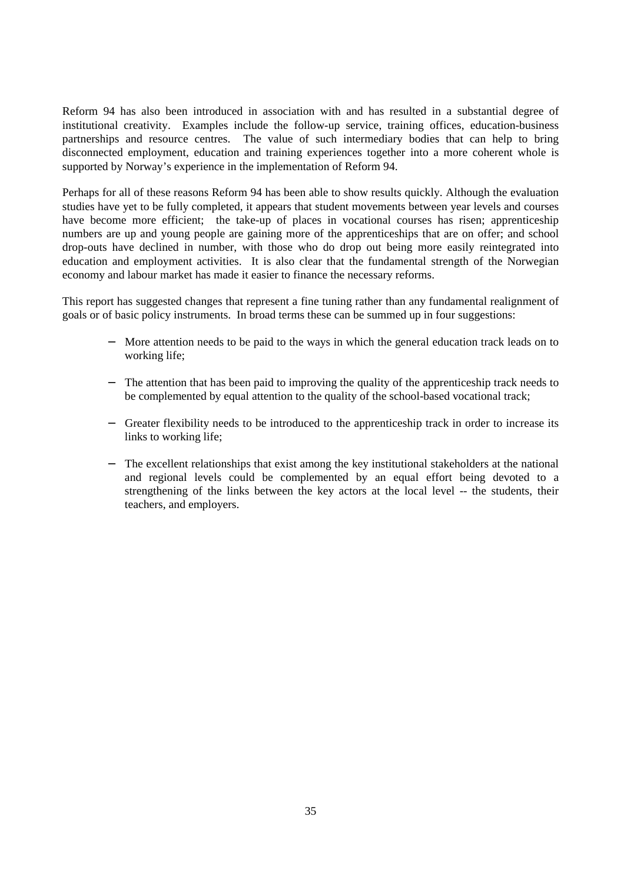Reform 94 has also been introduced in association with and has resulted in a substantial degree of institutional creativity. Examples include the follow-up service, training offices, education-business partnerships and resource centres. The value of such intermediary bodies that can help to bring disconnected employment, education and training experiences together into a more coherent whole is supported by Norway's experience in the implementation of Reform 94.

Perhaps for all of these reasons Reform 94 has been able to show results quickly. Although the evaluation studies have yet to be fully completed, it appears that student movements between year levels and courses have become more efficient; the take-up of places in vocational courses has risen; apprenticeship numbers are up and young people are gaining more of the apprenticeships that are on offer; and school drop-outs have declined in number, with those who do drop out being more easily reintegrated into education and employment activities. It is also clear that the fundamental strength of the Norwegian economy and labour market has made it easier to finance the necessary reforms.

This report has suggested changes that represent a fine tuning rather than any fundamental realignment of goals or of basic policy instruments. In broad terms these can be summed up in four suggestions:

- More attention needs to be paid to the ways in which the general education track leads on to working life;
- − The attention that has been paid to improving the quality of the apprenticeship track needs to be complemented by equal attention to the quality of the school-based vocational track;
- − Greater flexibility needs to be introduced to the apprenticeship track in order to increase its links to working life;
- − The excellent relationships that exist among the key institutional stakeholders at the national and regional levels could be complemented by an equal effort being devoted to a strengthening of the links between the key actors at the local level -- the students, their teachers, and employers.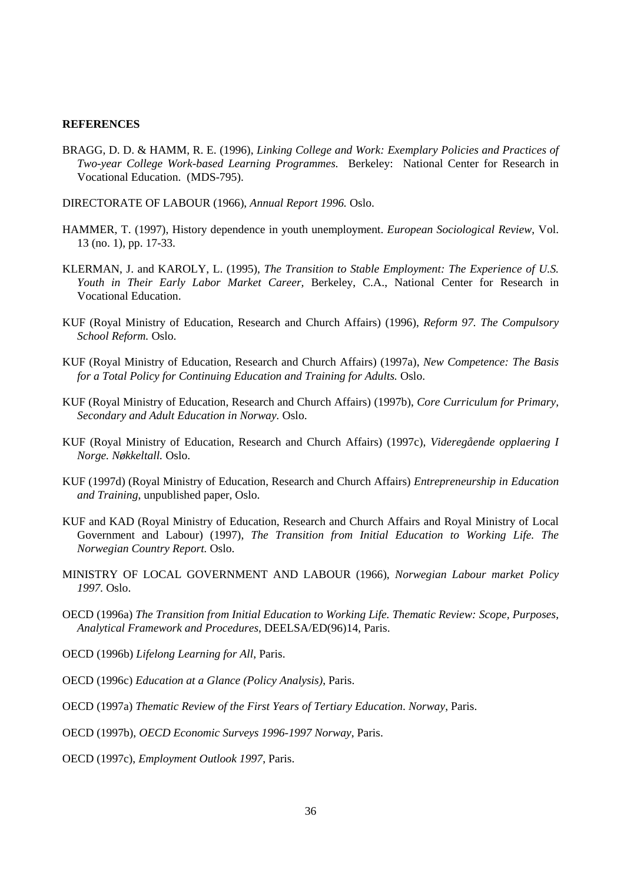#### **REFERENCES**

- BRAGG, D. D. & HAMM, R. E. (1996), *Linking College and Work: Exemplary Policies and Practices of Two-year College Work-based Learning Programmes.* Berkeley: National Center for Research in Vocational Education. (MDS-795).
- DIRECTORATE OF LABOUR (1966), *Annual Report 1996.* Oslo.
- HAMMER, T. (1997), History dependence in youth unemployment. *European Sociological Review*, Vol. 13 (no. 1), pp. 17-33.
- KLERMAN, J. and KAROLY, L. (1995), *The Transition to Stable Employment: The Experience of U.S. Youth in Their Early Labor Market Career,* Berkeley, C.A., National Center for Research in Vocational Education.
- KUF (Royal Ministry of Education, Research and Church Affairs) (1996), *Reform 97. The Compulsory School Reform.* Oslo.
- KUF (Royal Ministry of Education, Research and Church Affairs) (1997a), *New Competence: The Basis for a Total Policy for Continuing Education and Training for Adults.* Oslo.
- KUF (Royal Ministry of Education, Research and Church Affairs) (1997b), *Core Curriculum for Primary, Secondary and Adult Education in Norway.* Oslo.
- KUF (Royal Ministry of Education, Research and Church Affairs) (1997c), *Videregående opplaering I Norge. Nøkkeltall.* Oslo.
- KUF (1997d) (Royal Ministry of Education, Research and Church Affairs) *Entrepreneurship in Education and Training*, unpublished paper, Oslo.
- KUF and KAD (Royal Ministry of Education, Research and Church Affairs and Royal Ministry of Local Government and Labour) (1997), *The Transition from Initial Education to Working Life. The Norwegian Country Report.* Oslo.
- MINISTRY OF LOCAL GOVERNMENT AND LABOUR (1966), *Norwegian Labour market Policy 1997.* Oslo.
- OECD (1996a) *The Transition from Initial Education to Working Life. Thematic Review: Scope, Purposes, Analytical Framework and Procedures*, DEELSA/ED(96)14, Paris.
- OECD (1996b) *Lifelong Learning for All*, Paris.
- OECD (1996c) *Education at a Glance (Policy Analysis)*, Paris.
- OECD (1997a) *Thematic Review of the First Years of Tertiary Education*. *Norway*, Paris.
- OECD (1997b), *OECD Economic Surveys 1996-1997 Norway*, Paris.
- OECD (1997c), *Employment Outlook 1997*, Paris.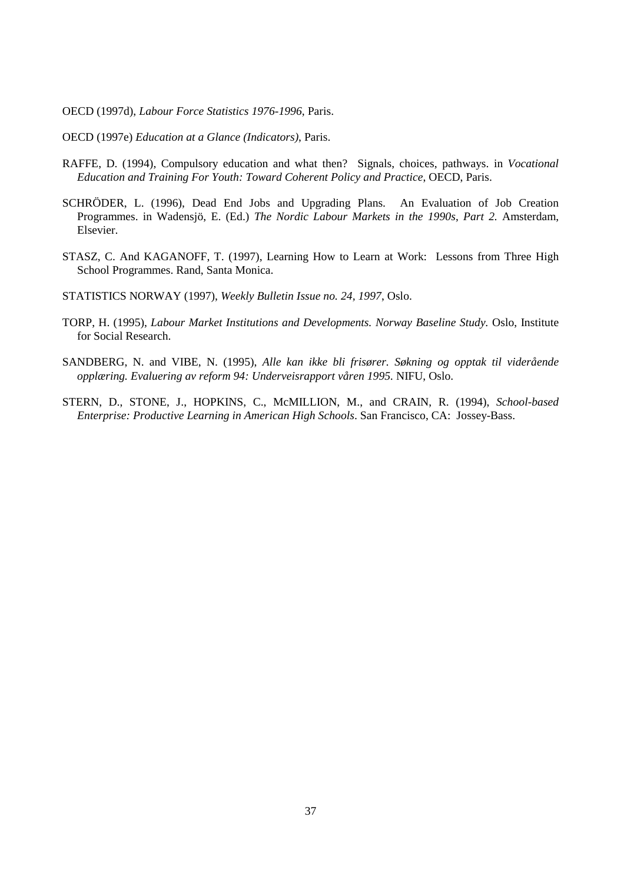OECD (1997d), *Labour Force Statistics 1976-1996*, Paris.

- OECD (1997e) *Education at a Glance (Indicators)*, Paris.
- RAFFE, D. (1994), Compulsory education and what then? Signals, choices, pathways. in *Vocational Education and Training For Youth: Toward Coherent Policy and Practice*, OECD, Paris.
- SCHRÖDER, L. (1996), Dead End Jobs and Upgrading Plans. An Evaluation of Job Creation Programmes. in Wadensjö, E. (Ed.) *The Nordic Labour Markets in the 1990s*, *Part 2.* Amsterdam, Elsevier.
- STASZ, C. And KAGANOFF, T. (1997), Learning How to Learn at Work: Lessons from Three High School Programmes. Rand, Santa Monica.
- STATISTICS NORWAY (1997), *Weekly Bulletin Issue no. 24, 1997*, Oslo.
- TORP, H. (1995), *Labour Market Institutions and Developments. Norway Baseline Study.* Oslo, Institute for Social Research.
- SANDBERG, N. and VIBE, N. (1995), *Alle kan ikke bli frisører. Søkning og opptak til viderående opplæring. Evaluering av reform 94: Underveisrapport våren 1995.* NIFU, Oslo.
- STERN, D., STONE, J., HOPKINS, C., McMILLION, M., and CRAIN, R. (1994), *School-based Enterprise: Productive Learning in American High Schools*. San Francisco, CA: Jossey-Bass.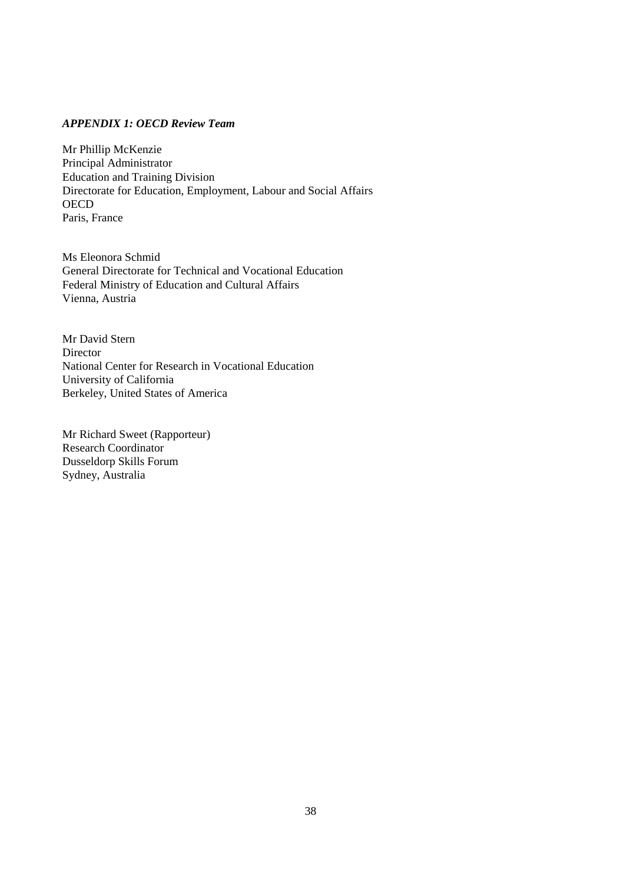## *APPENDIX 1: OECD Review Team*

Mr Phillip McKenzie Principal Administrator Education and Training Division Directorate for Education, Employment, Labour and Social Affairs **OECD** Paris, France

Ms Eleonora Schmid General Directorate for Technical and Vocational Education Federal Ministry of Education and Cultural Affairs Vienna, Austria

Mr David Stern **Director** National Center for Research in Vocational Education University of California Berkeley, United States of America

Mr Richard Sweet (Rapporteur) Research Coordinator Dusseldorp Skills Forum Sydney, Australia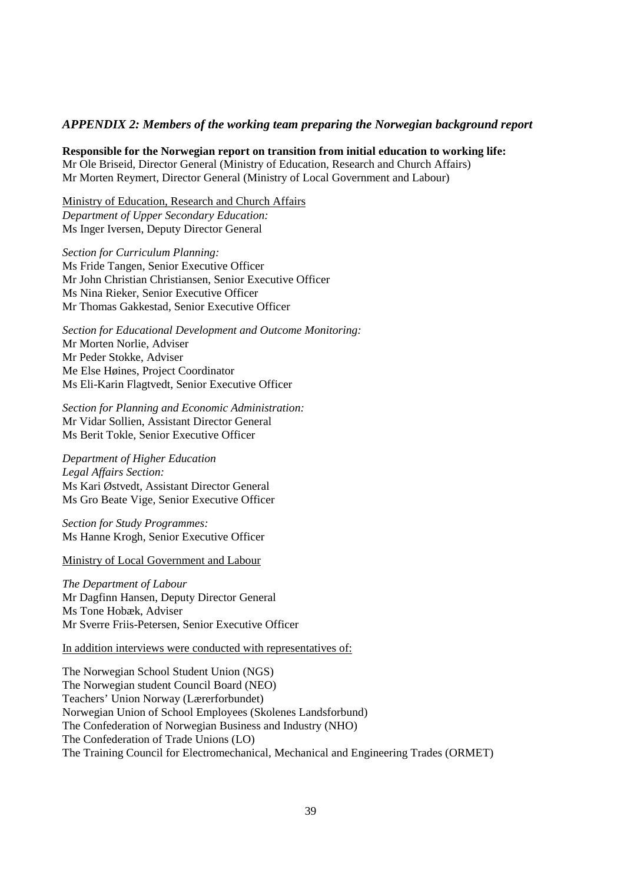## *APPENDIX 2: Members of the working team preparing the Norwegian background report*

**Responsible for the Norwegian report on transition from initial education to working life:**

Mr Ole Briseid, Director General (Ministry of Education, Research and Church Affairs) Mr Morten Reymert, Director General (Ministry of Local Government and Labour)

Ministry of Education, Research and Church Affairs *Department of Upper Secondary Education:* Ms Inger Iversen, Deputy Director General

*Section for Curriculum Planning:* Ms Fride Tangen, Senior Executive Officer Mr John Christian Christiansen, Senior Executive Officer Ms Nina Rieker, Senior Executive Officer Mr Thomas Gakkestad, Senior Executive Officer

*Section for Educational Development and Outcome Monitoring:* Mr Morten Norlie, Adviser Mr Peder Stokke, Adviser Me Else Høines, Project Coordinator Ms Eli-Karin Flagtvedt, Senior Executive Officer

*Section for Planning and Economic Administration:* Mr Vidar Sollien, Assistant Director General Ms Berit Tokle, Senior Executive Officer

*Department of Higher Education Legal Affairs Section:* Ms Kari Østvedt, Assistant Director General Ms Gro Beate Vige, Senior Executive Officer

*Section for Study Programmes:* Ms Hanne Krogh, Senior Executive Officer

Ministry of Local Government and Labour

*The Department of Labour* Mr Dagfinn Hansen, Deputy Director General Ms Tone Hobæk, Adviser Mr Sverre Friis-Petersen, Senior Executive Officer

In addition interviews were conducted with representatives of:

The Norwegian School Student Union (NGS) The Norwegian student Council Board (NEO) Teachers' Union Norway (Lærerforbundet) Norwegian Union of School Employees (Skolenes Landsforbund) The Confederation of Norwegian Business and Industry (NHO) The Confederation of Trade Unions (LO) The Training Council for Electromechanical, Mechanical and Engineering Trades (ORMET)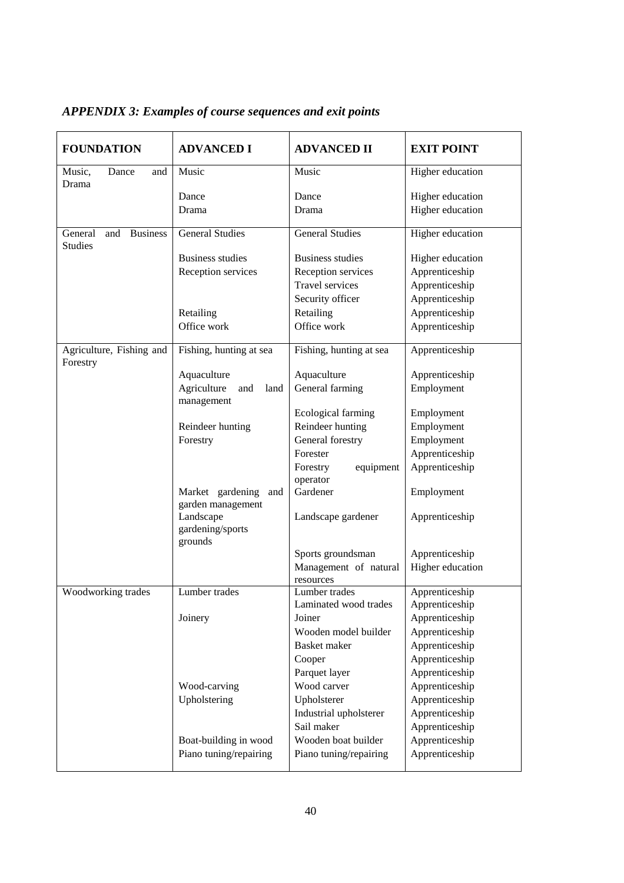| <b>FOUNDATION</b>                                   | <b>ADVANCED I</b>                         | <b>ADVANCED II</b>                 | <b>EXIT POINT</b> |
|-----------------------------------------------------|-------------------------------------------|------------------------------------|-------------------|
| Music,<br>Dance<br>and<br>Drama                     | Music                                     | Music                              | Higher education  |
|                                                     | Dance                                     | Dance                              | Higher education  |
|                                                     | Drama                                     | Drama                              | Higher education  |
| General<br><b>Business</b><br>and<br><b>Studies</b> | <b>General Studies</b>                    | <b>General Studies</b>             | Higher education  |
|                                                     | <b>Business studies</b>                   | <b>Business studies</b>            | Higher education  |
|                                                     | Reception services                        | Reception services                 | Apprenticeship    |
|                                                     |                                           | <b>Travel services</b>             | Apprenticeship    |
|                                                     |                                           | Security officer                   | Apprenticeship    |
|                                                     | Retailing                                 | Retailing                          | Apprenticeship    |
|                                                     | Office work                               | Office work                        | Apprenticeship    |
| Agriculture, Fishing and<br>Forestry                | Fishing, hunting at sea                   | Fishing, hunting at sea            | Apprenticeship    |
|                                                     | Aquaculture                               | Aquaculture                        | Apprenticeship    |
|                                                     | Agriculture<br>and<br>land<br>management  | General farming                    | Employment        |
|                                                     |                                           | Ecological farming                 | Employment        |
|                                                     | Reindeer hunting                          | Reindeer hunting                   | Employment        |
|                                                     | Forestry                                  | General forestry                   | Employment        |
|                                                     |                                           | Forester                           | Apprenticeship    |
|                                                     |                                           | Forestry<br>equipment<br>operator  | Apprenticeship    |
|                                                     | Market gardening and<br>garden management | Gardener                           | Employment        |
|                                                     | Landscape<br>gardening/sports<br>grounds  | Landscape gardener                 | Apprenticeship    |
|                                                     |                                           | Sports groundsman                  | Apprenticeship    |
|                                                     |                                           | Management of natural<br>resources | Higher education  |
| Woodworking trades                                  | Lumber trades                             | Lumber trades                      | Apprenticeship    |
|                                                     |                                           | Laminated wood trades              | Apprenticeship    |
|                                                     | Joinery                                   | Joiner                             | Apprenticeship    |
|                                                     |                                           | Wooden model builder               | Apprenticeship    |
|                                                     |                                           | <b>Basket</b> maker                | Apprenticeship    |
|                                                     |                                           | Cooper                             | Apprenticeship    |
|                                                     |                                           | Parquet layer                      | Apprenticeship    |
|                                                     | Wood-carving                              | Wood carver                        | Apprenticeship    |
|                                                     | Upholstering                              | Upholsterer                        | Apprenticeship    |
|                                                     |                                           | Industrial upholsterer             | Apprenticeship    |
|                                                     |                                           | Sail maker                         | Apprenticeship    |
|                                                     | Boat-building in wood                     | Wooden boat builder                | Apprenticeship    |
|                                                     | Piano tuning/repairing                    | Piano tuning/repairing             | Apprenticeship    |

## *APPENDIX 3: Examples of course sequences and exit points*